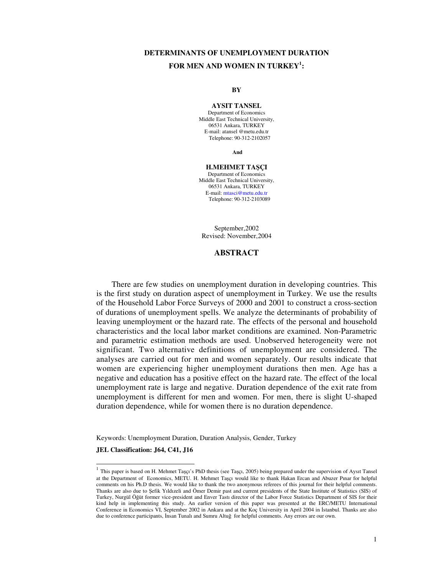# **DETERMINANTS OF UNEMPLOYMENT DURATION FOR MEN AND WOMEN IN TURKEY<sup>1</sup> :**

#### **BY**

#### **AYSIT TANSEL**

Department of Economics Middle East Technical University, 06531 Ankara, TURKEY E-mail: atansel @metu.edu.tr Telephone: 90-312-2102057

**And** 

#### **H.MEHMET TA**Ş**ÇI**

Department of Economics Middle East Technical University, 06531 Ankara, TURKEY E-mail: mtasci@metu.edu.tr Telephone: 90-312-2103089

September,2002 Revised: November,2004

#### **ABSTRACT**

 There are few studies on unemployment duration in developing countries. This is the first study on duration aspect of unemployment in Turkey. We use the results of the Household Labor Force Surveys of 2000 and 2001 to construct a cross-section of durations of unemployment spells. We analyze the determinants of probability of leaving unemployment or the hazard rate. The effects of the personal and household characteristics and the local labor market conditions are examined. Non-Parametric and parametric estimation methods are used. Unobserved heterogeneity were not significant. Two alternative definitions of unemployment are considered. The analyses are carried out for men and women separately. Our results indicate that women are experiencing higher unemployment durations then men. Age has a negative and education has a positive effect on the hazard rate. The effect of the local unemployment rate is large and negative. Duration dependence of the exit rate from unemployment is different for men and women. For men, there is slight U-shaped duration dependence, while for women there is no duration dependence.

Keywords: Unemployment Duration, Duration Analysis, Gender, Turkey

**JEL Classification: J64, C41, J16** 

 $\overline{a}$ 

 $<sup>1</sup>$  This paper is based on H. Mehmet Taşçı's PhD thesis (see Taşçı, 2005) being prepared under the supervision of Aysıt Tansel</sup> at the Department of Economics, METU. H. Mehmet Taşçı would like to thank Hakan Ercan and Abuzer Pınar for helpful comments on his Ph.D thesis. We would like to thank the two anonymous referees of this journal for their helpful comments. Thanks are also due to Şefik Yıldızeli and Ömer Demir past and current presidents of the State Institute of Statistics (SIS) of Turkey, Nurgül Öğüt former vice-president and Enver Tastı director of the Labor Force Statistics Department of SIS for their kind help in implementing this study. An earlier version of this paper was presented at the ERC/METU International Conference in Economics VI, September 2002 in Ankara and at the Koç University in April 2004 in İstanbul. Thanks are also due to conference participants, İnsan Tunalı and Sumru Altuğ for helpful comments. Any errors are our own.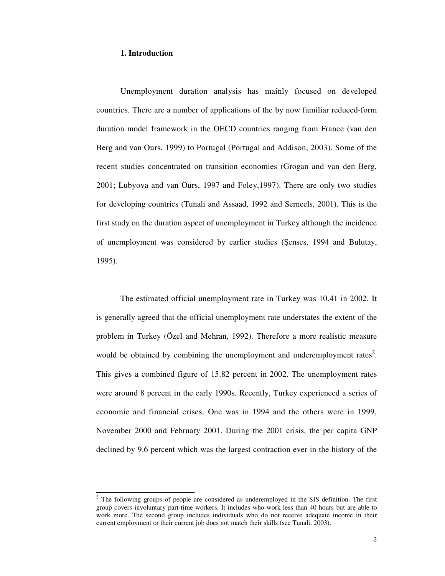### **1. Introduction**

 $\overline{a}$ 

Unemployment duration analysis has mainly focused on developed countries. There are a number of applications of the by now familiar reduced-form duration model framework in the OECD countries ranging from France (van den Berg and van Ours, 1999) to Portugal (Portugal and Addison, 2003). Some of the recent studies concentrated on transition economies (Grogan and van den Berg, 2001; Lubyova and van Ours, 1997 and Foley,1997). There are only two studies for developing countries (Tunali and Assaad, 1992 and Serneels, 2001). This is the first study on the duration aspect of unemployment in Turkey although the incidence of unemployment was considered by earlier studies (Şenses, 1994 and Bulutay, 1995).

The estimated official unemployment rate in Turkey was 10.41 in 2002. It is generally agreed that the official unemployment rate understates the extent of the problem in Turkey (Özel and Mehran, 1992). Therefore a more realistic measure would be obtained by combining the unemployment and underemployment rates<sup>2</sup>. This gives a combined figure of 15.82 percent in 2002. The unemployment rates were around 8 percent in the early 1990s. Recently, Turkey experienced a series of economic and financial crises. One was in 1994 and the others were in 1999, November 2000 and February 2001. During the 2001 crisis, the per capita GNP declined by 9.6 percent which was the largest contraction ever in the history of the

 $2^2$  The following groups of people are considered as underemployed in the SIS definition. The first group covers involuntary part-time workers. It includes who work less than 40 hours but are able to work more. The second group includes individuals who do not receive adequate income in their current employment or their current job does not match their skills (see Tunali, 2003).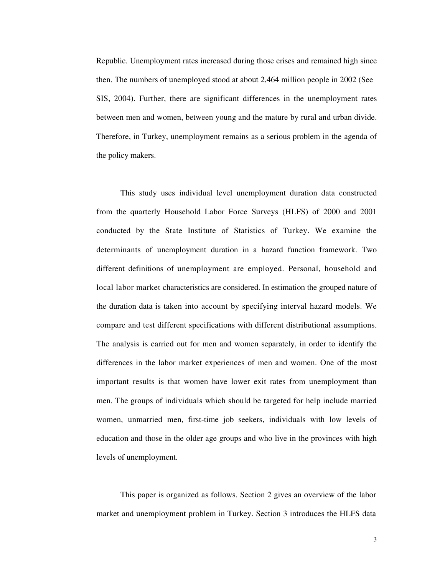Republic. Unemployment rates increased during those crises and remained high since then. The numbers of unemployed stood at about 2,464 million people in 2002 (See SIS, 2004). Further, there are significant differences in the unemployment rates between men and women, between young and the mature by rural and urban divide. Therefore, in Turkey, unemployment remains as a serious problem in the agenda of the policy makers.

This study uses individual level unemployment duration data constructed from the quarterly Household Labor Force Surveys (HLFS) of 2000 and 2001 conducted by the State Institute of Statistics of Turkey. We examine the determinants of unemployment duration in a hazard function framework. Two different definitions of unemployment are employed. Personal, household and local labor market characteristics are considered. In estimation the grouped nature of the duration data is taken into account by specifying interval hazard models. We compare and test different specifications with different distributional assumptions. The analysis is carried out for men and women separately, in order to identify the differences in the labor market experiences of men and women. One of the most important results is that women have lower exit rates from unemployment than men. The groups of individuals which should be targeted for help include married women, unmarried men, first-time job seekers, individuals with low levels of education and those in the older age groups and who live in the provinces with high levels of unemployment.

This paper is organized as follows. Section 2 gives an overview of the labor market and unemployment problem in Turkey. Section 3 introduces the HLFS data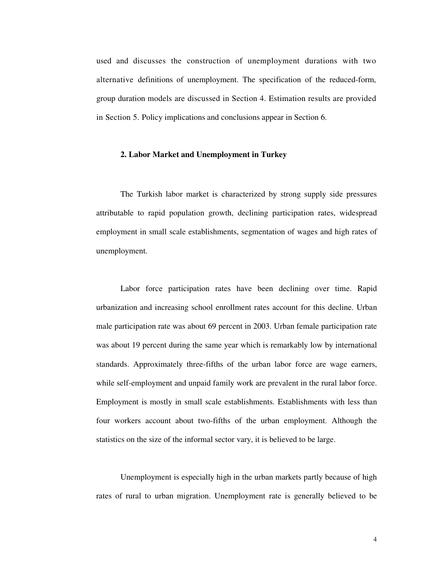used and discusses the construction of unemployment durations with two alternative definitions of unemployment. The specification of the reduced-form, group duration models are discussed in Section 4. Estimation results are provided in Section 5. Policy implications and conclusions appear in Section 6.

#### **2. Labor Market and Unemployment in Turkey**

The Turkish labor market is characterized by strong supply side pressures attributable to rapid population growth, declining participation rates, widespread employment in small scale establishments, segmentation of wages and high rates of unemployment.

Labor force participation rates have been declining over time. Rapid urbanization and increasing school enrollment rates account for this decline. Urban male participation rate was about 69 percent in 2003. Urban female participation rate was about 19 percent during the same year which is remarkably low by international standards. Approximately three-fifths of the urban labor force are wage earners, while self-employment and unpaid family work are prevalent in the rural labor force. Employment is mostly in small scale establishments. Establishments with less than four workers account about two-fifths of the urban employment. Although the statistics on the size of the informal sector vary, it is believed to be large.

Unemployment is especially high in the urban markets partly because of high rates of rural to urban migration. Unemployment rate is generally believed to be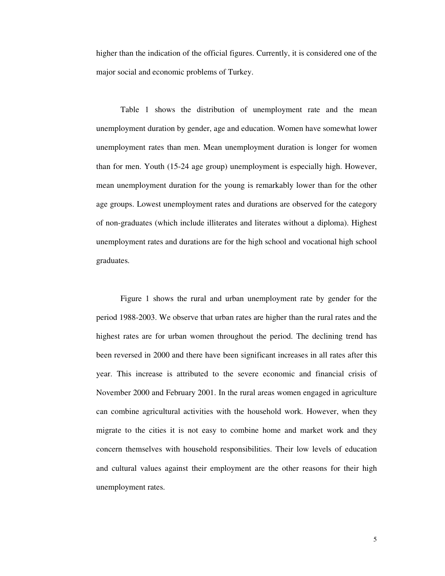higher than the indication of the official figures. Currently, it is considered one of the major social and economic problems of Turkey.

Table 1 shows the distribution of unemployment rate and the mean unemployment duration by gender, age and education. Women have somewhat lower unemployment rates than men. Mean unemployment duration is longer for women than for men. Youth (15-24 age group) unemployment is especially high. However, mean unemployment duration for the young is remarkably lower than for the other age groups. Lowest unemployment rates and durations are observed for the category of non-graduates (which include illiterates and literates without a diploma). Highest unemployment rates and durations are for the high school and vocational high school graduates.

Figure 1 shows the rural and urban unemployment rate by gender for the period 1988-2003. We observe that urban rates are higher than the rural rates and the highest rates are for urban women throughout the period. The declining trend has been reversed in 2000 and there have been significant increases in all rates after this year. This increase is attributed to the severe economic and financial crisis of November 2000 and February 2001. In the rural areas women engaged in agriculture can combine agricultural activities with the household work. However, when they migrate to the cities it is not easy to combine home and market work and they concern themselves with household responsibilities. Their low levels of education and cultural values against their employment are the other reasons for their high unemployment rates.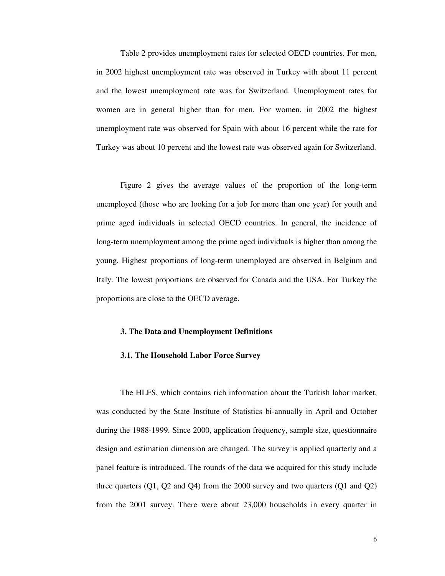Table 2 provides unemployment rates for selected OECD countries. For men, in 2002 highest unemployment rate was observed in Turkey with about 11 percent and the lowest unemployment rate was for Switzerland. Unemployment rates for women are in general higher than for men. For women, in 2002 the highest unemployment rate was observed for Spain with about 16 percent while the rate for Turkey was about 10 percent and the lowest rate was observed again for Switzerland.

Figure 2 gives the average values of the proportion of the long-term unemployed (those who are looking for a job for more than one year) for youth and prime aged individuals in selected OECD countries. In general, the incidence of long-term unemployment among the prime aged individuals is higher than among the young. Highest proportions of long-term unemployed are observed in Belgium and Italy. The lowest proportions are observed for Canada and the USA. For Turkey the proportions are close to the OECD average.

#### **3. The Data and Unemployment Definitions**

#### **3.1. The Household Labor Force Survey**

The HLFS, which contains rich information about the Turkish labor market, was conducted by the State Institute of Statistics bi-annually in April and October during the 1988-1999. Since 2000, application frequency, sample size, questionnaire design and estimation dimension are changed. The survey is applied quarterly and a panel feature is introduced. The rounds of the data we acquired for this study include three quarters  $(Q1, Q2 \text{ and } Q4)$  from the 2000 survey and two quarters  $(Q1 \text{ and } Q2)$ from the 2001 survey. There were about 23,000 households in every quarter in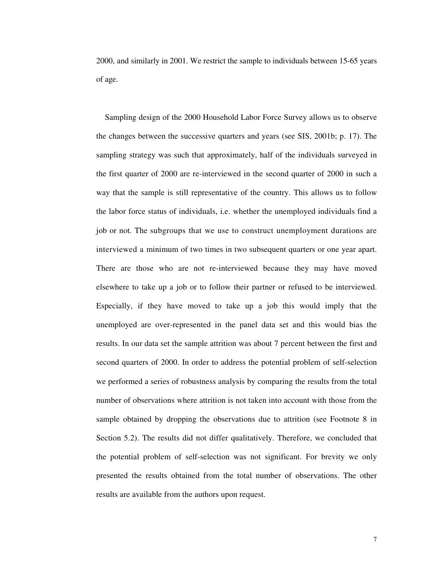2000, and similarly in 2001. We restrict the sample to individuals between 15-65 years of age.

Sampling design of the 2000 Household Labor Force Survey allows us to observe the changes between the successive quarters and years (see SIS, 2001b; p. 17). The sampling strategy was such that approximately, half of the individuals surveyed in the first quarter of 2000 are re-interviewed in the second quarter of 2000 in such a way that the sample is still representative of the country. This allows us to follow the labor force status of individuals, i.e. whether the unemployed individuals find a job or not. The subgroups that we use to construct unemployment durations are interviewed a minimum of two times in two subsequent quarters or one year apart. There are those who are not re-interviewed because they may have moved elsewhere to take up a job or to follow their partner or refused to be interviewed. Especially, if they have moved to take up a job this would imply that the unemployed are over-represented in the panel data set and this would bias the results. In our data set the sample attrition was about 7 percent between the first and second quarters of 2000. In order to address the potential problem of self-selection we performed a series of robustness analysis by comparing the results from the total number of observations where attrition is not taken into account with those from the sample obtained by dropping the observations due to attrition (see Footnote 8 in Section 5.2). The results did not differ qualitatively. Therefore, we concluded that the potential problem of self-selection was not significant. For brevity we only presented the results obtained from the total number of observations. The other results are available from the authors upon request.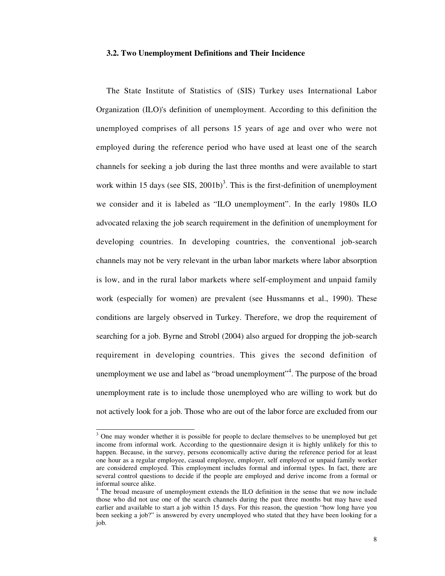#### **3.2. Two Unemployment Definitions and Their Incidence**

The State Institute of Statistics of (SIS) Turkey uses International Labor Organization (ILO)'s definition of unemployment. According to this definition the unemployed comprises of all persons 15 years of age and over who were not employed during the reference period who have used at least one of the search channels for seeking a job during the last three months and were available to start work within 15 days (see SIS,  $2001b$ )<sup>3</sup>. This is the first-definition of unemployment we consider and it is labeled as "ILO unemployment". In the early 1980s ILO advocated relaxing the job search requirement in the definition of unemployment for developing countries. In developing countries, the conventional job-search channels may not be very relevant in the urban labor markets where labor absorption is low, and in the rural labor markets where self-employment and unpaid family work (especially for women) are prevalent (see Hussmanns et al., 1990). These conditions are largely observed in Turkey. Therefore, we drop the requirement of searching for a job. Byrne and Strobl (2004) also argued for dropping the job-search requirement in developing countries. This gives the second definition of unemployment we use and label as "broad unemployment"<sup>4</sup>. The purpose of the broad unemployment rate is to include those unemployed who are willing to work but do not actively look for a job. Those who are out of the labor force are excluded from our

 $\overline{a}$ 

 $3$  One may wonder whether it is possible for people to declare themselves to be unemployed but get income from informal work. According to the questionnaire design it is highly unlikely for this to happen. Because, in the survey, persons economically active during the reference period for at least one hour as a regular employee, casual employee, employer, self employed or unpaid family worker are considered employed. This employment includes formal and informal types. In fact, there are several control questions to decide if the people are employed and derive income from a formal or informal source alike.

<sup>&</sup>lt;sup>4</sup> The broad measure of unemployment extends the ILO definition in the sense that we now include those who did not use one of the search channels during the past three months but may have used earlier and available to start a job within 15 days. For this reason, the question "how long have you been seeking a job?" is answered by every unemployed who stated that they have been looking for a job.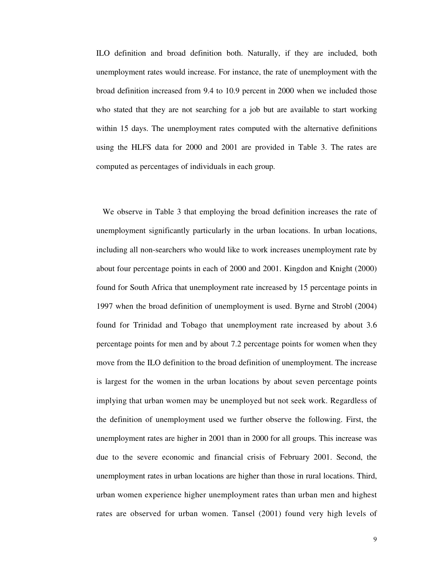ILO definition and broad definition both. Naturally, if they are included, both unemployment rates would increase. For instance, the rate of unemployment with the broad definition increased from 9.4 to 10.9 percent in 2000 when we included those who stated that they are not searching for a job but are available to start working within 15 days. The unemployment rates computed with the alternative definitions using the HLFS data for 2000 and 2001 are provided in Table 3. The rates are computed as percentages of individuals in each group.

We observe in Table 3 that employing the broad definition increases the rate of unemployment significantly particularly in the urban locations. In urban locations, including all non-searchers who would like to work increases unemployment rate by about four percentage points in each of 2000 and 2001. Kingdon and Knight (2000) found for South Africa that unemployment rate increased by 15 percentage points in 1997 when the broad definition of unemployment is used. Byrne and Strobl (2004) found for Trinidad and Tobago that unemployment rate increased by about 3.6 percentage points for men and by about 7.2 percentage points for women when they move from the ILO definition to the broad definition of unemployment. The increase is largest for the women in the urban locations by about seven percentage points implying that urban women may be unemployed but not seek work. Regardless of the definition of unemployment used we further observe the following. First, the unemployment rates are higher in 2001 than in 2000 for all groups. This increase was due to the severe economic and financial crisis of February 2001. Second, the unemployment rates in urban locations are higher than those in rural locations. Third, urban women experience higher unemployment rates than urban men and highest rates are observed for urban women. Tansel (2001) found very high levels of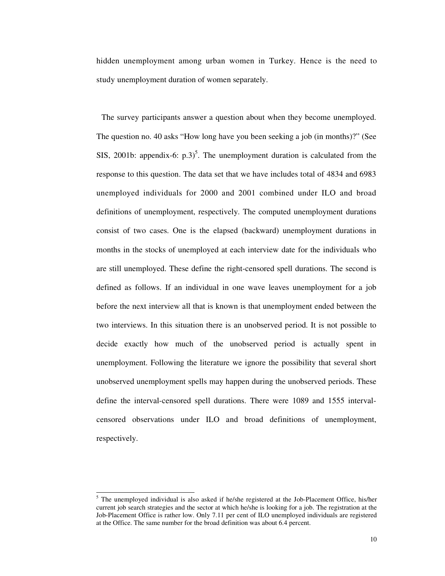hidden unemployment among urban women in Turkey. Hence is the need to study unemployment duration of women separately.

The survey participants answer a question about when they become unemployed. The question no. 40 asks "How long have you been seeking a job (in months)?" (See SIS, 2001b: appendix-6:  $p.3$ <sup>5</sup>. The unemployment duration is calculated from the response to this question. The data set that we have includes total of 4834 and 6983 unemployed individuals for 2000 and 2001 combined under ILO and broad definitions of unemployment, respectively. The computed unemployment durations consist of two cases. One is the elapsed (backward) unemployment durations in months in the stocks of unemployed at each interview date for the individuals who are still unemployed. These define the right-censored spell durations. The second is defined as follows. If an individual in one wave leaves unemployment for a job before the next interview all that is known is that unemployment ended between the two interviews. In this situation there is an unobserved period. It is not possible to decide exactly how much of the unobserved period is actually spent in unemployment. Following the literature we ignore the possibility that several short unobserved unemployment spells may happen during the unobserved periods. These define the interval-censored spell durations. There were 1089 and 1555 intervalcensored observations under ILO and broad definitions of unemployment, respectively.

 $\overline{a}$ 

 $<sup>5</sup>$  The unemployed individual is also asked if he/she registered at the Job-Placement Office, his/her</sup> current job search strategies and the sector at which he/she is looking for a job. The registration at the Job-Placement Office is rather low. Only 7.11 per cent of ILO unemployed individuals are registered at the Office. The same number for the broad definition was about 6.4 percent.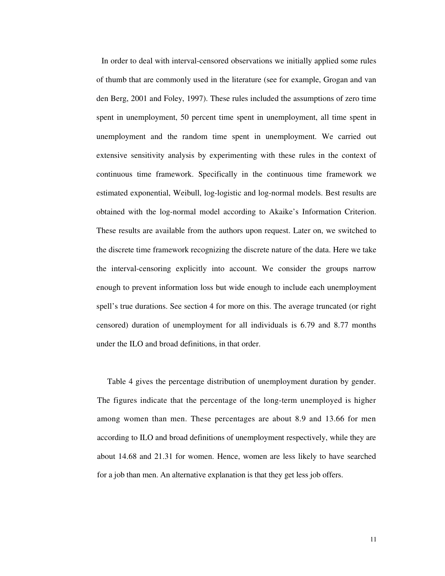In order to deal with interval-censored observations we initially applied some rules of thumb that are commonly used in the literature (see for example, Grogan and van den Berg, 2001 and Foley, 1997). These rules included the assumptions of zero time spent in unemployment, 50 percent time spent in unemployment, all time spent in unemployment and the random time spent in unemployment. We carried out extensive sensitivity analysis by experimenting with these rules in the context of continuous time framework. Specifically in the continuous time framework we estimated exponential, Weibull, log-logistic and log-normal models. Best results are obtained with the log-normal model according to Akaike's Information Criterion. These results are available from the authors upon request. Later on, we switched to the discrete time framework recognizing the discrete nature of the data. Here we take the interval-censoring explicitly into account. We consider the groups narrow enough to prevent information loss but wide enough to include each unemployment spell's true durations. See section 4 for more on this. The average truncated (or right censored) duration of unemployment for all individuals is 6.79 and 8.77 months under the ILO and broad definitions, in that order.

Table 4 gives the percentage distribution of unemployment duration by gender. The figures indicate that the percentage of the long-term unemployed is higher among women than men. These percentages are about 8.9 and 13.66 for men according to ILO and broad definitions of unemployment respectively, while they are about 14.68 and 21.31 for women. Hence, women are less likely to have searched for a job than men. An alternative explanation is that they get less job offers.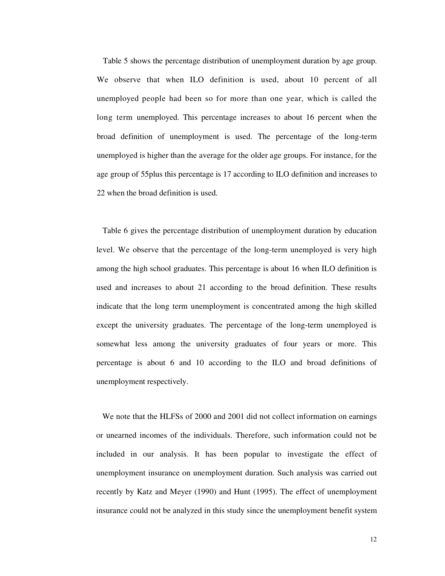Table 5 shows the percentage distribution of unemployment duration by age group. We observe that when ILO definition is used, about 10 percent of all unemployed people had been so for more than one year, which is called the long term unemployed. This percentage increases to about 16 percent when the broad definition of unemployment is used. The percentage of the long-term unemployed is higher than the average for the older age groups. For instance, for the age group of 55plus this percentage is 17 according to ILO definition and increases to 22 when the broad definition is used.

Table 6 gives the percentage distribution of unemployment duration by education level. We observe that the percentage of the long-term unemployed is very high among the high school graduates. This percentage is about 16 when ILO definition is used and increases to about 21 according to the broad definition. These results indicate that the long term unemployment is concentrated among the high skilled except the university graduates. The percentage of the long-term unemployed is somewhat less among the university graduates of four years or more. This percentage is about 6 and 10 according to the ILO and broad definitions of unemployment respectively.

We note that the HLFSs of 2000 and 2001 did not collect information on earnings or unearned incomes of the individuals. Therefore, such information could not be included in our analysis. It has been popular to investigate the effect of unemployment insurance on unemployment duration. Such analysis was carried out recently by Katz and Meyer (1990) and Hunt (1995). The effect of unemployment insurance could not be analyzed in this study since the unemployment benefit system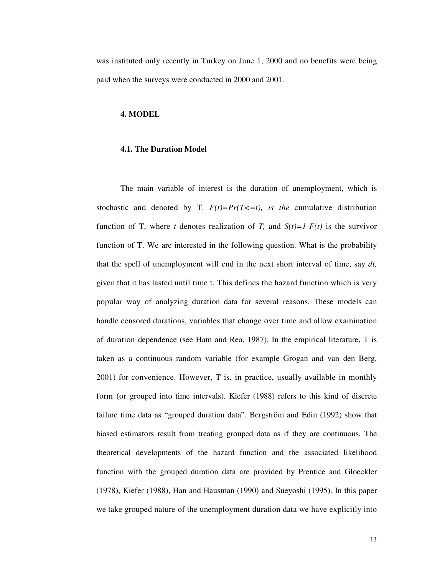was instituted only recently in Turkey on June 1, 2000 and no benefits were being paid when the surveys were conducted in 2000 and 2001.

#### **4. MODEL**

#### **4.1. The Duration Model**

The main variable of interest is the duration of unemployment, which is stochastic and denoted by T.  $F(t)=Pr(T\leq t)$ , is the cumulative distribution function of T, where *t* denotes realization of T, and  $S(t)=I-F(t)$  is the survivor function of T. We are interested in the following question. What is the probability that the spell of unemployment will end in the next short interval of time, say *dt,*  given that it has lasted until time t. This defines the hazard function which is very popular way of analyzing duration data for several reasons. These models can handle censored durations, variables that change over time and allow examination of duration dependence (see Ham and Rea, 1987). In the empirical literature, T is taken as a continuous random variable (for example Grogan and van den Berg, 2001) for convenience. However, T is, in practice, usually available in monthly form (or grouped into time intervals). Kiefer (1988) refers to this kind of discrete failure time data as "grouped duration data". Bergström and Edin (1992) show that biased estimators result from treating grouped data as if they are continuous. The theoretical developments of the hazard function and the associated likelihood function with the grouped duration data are provided by Prentice and Gloeckler (1978), Kiefer (1988), Han and Hausman (1990) and Sueyoshi (1995). In this paper we take grouped nature of the unemployment duration data we have explicitly into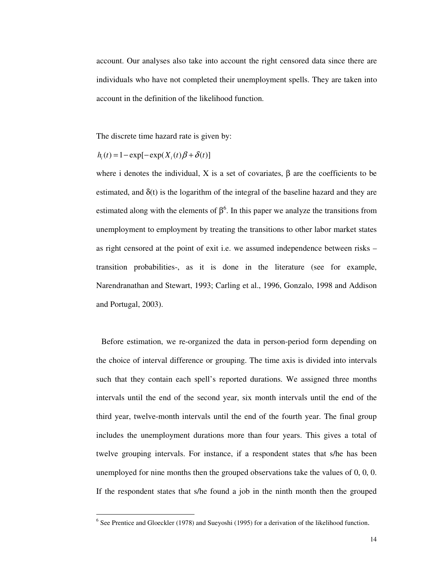account. Our analyses also take into account the right censored data since there are individuals who have not completed their unemployment spells. They are taken into account in the definition of the likelihood function.

The discrete time hazard rate is given by:

## $h_i(t) = 1 - \exp[-\exp(X_i(t) \beta + \delta(t))]$

 $\overline{a}$ 

where i denotes the individual, X is a set of covariates,  $\beta$  are the coefficients to be estimated, and  $\delta(t)$  is the logarithm of the integral of the baseline hazard and they are estimated along with the elements of  $\beta^6$ . In this paper we analyze the transitions from unemployment to employment by treating the transitions to other labor market states as right censored at the point of exit i.e. we assumed independence between risks – transition probabilities-, as it is done in the literature (see for example, Narendranathan and Stewart, 1993; Carling et al., 1996, Gonzalo, 1998 and Addison and Portugal, 2003).

Before estimation, we re-organized the data in person-period form depending on the choice of interval difference or grouping. The time axis is divided into intervals such that they contain each spell's reported durations. We assigned three months intervals until the end of the second year, six month intervals until the end of the third year, twelve-month intervals until the end of the fourth year. The final group includes the unemployment durations more than four years. This gives a total of twelve grouping intervals. For instance, if a respondent states that s/he has been unemployed for nine months then the grouped observations take the values of 0, 0, 0. If the respondent states that s/he found a job in the ninth month then the grouped

<sup>&</sup>lt;sup>6</sup> See Prentice and Gloeckler (1978) and Sueyoshi (1995) for a derivation of the likelihood function.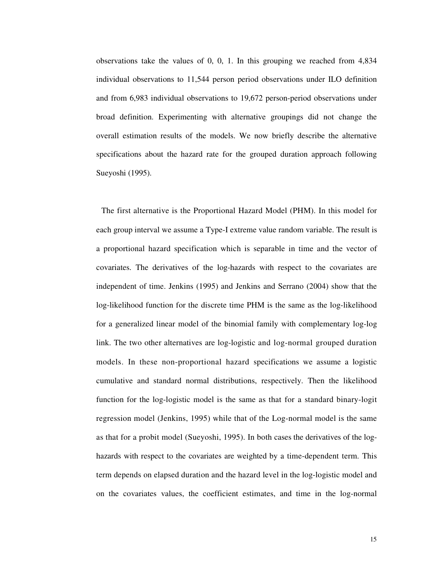observations take the values of 0, 0, 1. In this grouping we reached from 4,834 individual observations to 11,544 person period observations under ILO definition and from 6,983 individual observations to 19,672 person-period observations under broad definition. Experimenting with alternative groupings did not change the overall estimation results of the models. We now briefly describe the alternative specifications about the hazard rate for the grouped duration approach following Sueyoshi (1995).

The first alternative is the Proportional Hazard Model (PHM). In this model for each group interval we assume a Type-I extreme value random variable. The result is a proportional hazard specification which is separable in time and the vector of covariates. The derivatives of the log-hazards with respect to the covariates are independent of time. Jenkins (1995) and Jenkins and Serrano (2004) show that the log-likelihood function for the discrete time PHM is the same as the log-likelihood for a generalized linear model of the binomial family with complementary log-log link. The two other alternatives are log-logistic and log-normal grouped duration models. In these non-proportional hazard specifications we assume a logistic cumulative and standard normal distributions, respectively. Then the likelihood function for the log-logistic model is the same as that for a standard binary-logit regression model (Jenkins, 1995) while that of the Log-normal model is the same as that for a probit model (Sueyoshi, 1995). In both cases the derivatives of the loghazards with respect to the covariates are weighted by a time-dependent term. This term depends on elapsed duration and the hazard level in the log-logistic model and on the covariates values, the coefficient estimates, and time in the log-normal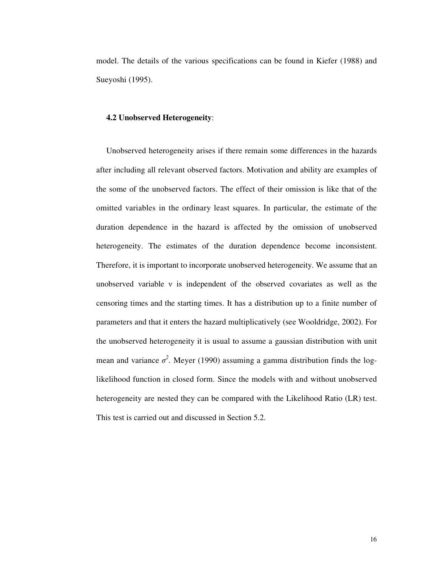model. The details of the various specifications can be found in Kiefer (1988) and Sueyoshi (1995).

#### **4.2 Unobserved Heterogeneity**:

Unobserved heterogeneity arises if there remain some differences in the hazards after including all relevant observed factors. Motivation and ability are examples of the some of the unobserved factors. The effect of their omission is like that of the omitted variables in the ordinary least squares. In particular, the estimate of the duration dependence in the hazard is affected by the omission of unobserved heterogeneity. The estimates of the duration dependence become inconsistent. Therefore, it is important to incorporate unobserved heterogeneity. We assume that an unobserved variable v is independent of the observed covariates as well as the censoring times and the starting times. It has a distribution up to a finite number of parameters and that it enters the hazard multiplicatively (see Wooldridge, 2002). For the unobserved heterogeneity it is usual to assume a gaussian distribution with unit mean and variance  $\sigma^2$ . Meyer (1990) assuming a gamma distribution finds the loglikelihood function in closed form. Since the models with and without unobserved heterogeneity are nested they can be compared with the Likelihood Ratio (LR) test. This test is carried out and discussed in Section 5.2.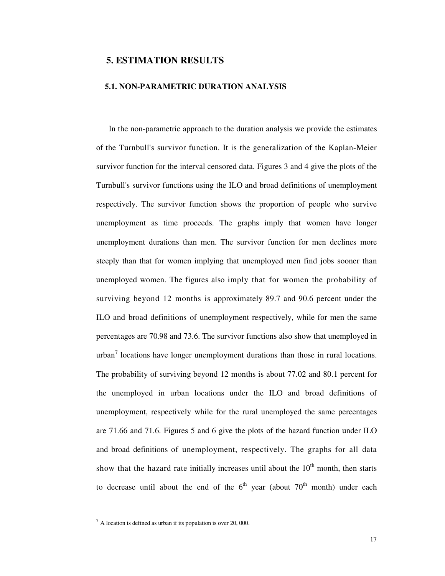# **5. ESTIMATION RESULTS**

#### **5.1. NON-PARAMETRIC DURATION ANALYSIS**

 In the non-parametric approach to the duration analysis we provide the estimates of the Turnbull's survivor function. It is the generalization of the Kaplan-Meier survivor function for the interval censored data. Figures 3 and 4 give the plots of the Turnbull's survivor functions using the ILO and broad definitions of unemployment respectively. The survivor function shows the proportion of people who survive unemployment as time proceeds. The graphs imply that women have longer unemployment durations than men. The survivor function for men declines more steeply than that for women implying that unemployed men find jobs sooner than unemployed women. The figures also imply that for women the probability of surviving beyond 12 months is approximately 89.7 and 90.6 percent under the ILO and broad definitions of unemployment respectively, while for men the same percentages are 70.98 and 73.6. The survivor functions also show that unemployed in urban<sup>7</sup> locations have longer unemployment durations than those in rural locations. The probability of surviving beyond 12 months is about 77.02 and 80.1 percent for the unemployed in urban locations under the ILO and broad definitions of unemployment, respectively while for the rural unemployed the same percentages are 71.66 and 71.6. Figures 5 and 6 give the plots of the hazard function under ILO and broad definitions of unemployment, respectively. The graphs for all data show that the hazard rate initially increases until about the  $10<sup>th</sup>$  month, then starts to decrease until about the end of the  $6<sup>th</sup>$  year (about 70<sup>th</sup> month) under each

 $\overline{a}$ 

 $^7$  A location is defined as urban if its population is over 20, 000.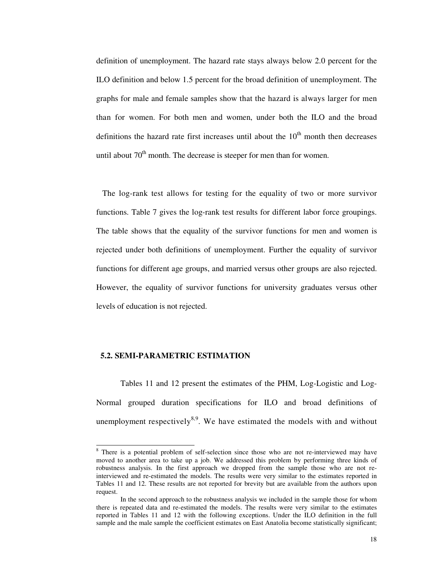definition of unemployment. The hazard rate stays always below 2.0 percent for the ILO definition and below 1.5 percent for the broad definition of unemployment. The graphs for male and female samples show that the hazard is always larger for men than for women. For both men and women, under both the ILO and the broad definitions the hazard rate first increases until about the  $10<sup>th</sup>$  month then decreases until about  $70<sup>th</sup>$  month. The decrease is steeper for men than for women.

The log-rank test allows for testing for the equality of two or more survivor functions. Table 7 gives the log-rank test results for different labor force groupings. The table shows that the equality of the survivor functions for men and women is rejected under both definitions of unemployment. Further the equality of survivor functions for different age groups, and married versus other groups are also rejected. However, the equality of survivor functions for university graduates versus other levels of education is not rejected.

## **5.2. SEMI-PARAMETRIC ESTIMATION**

Tables 11 and 12 present the estimates of the PHM, Log-Logistic and Log-Normal grouped duration specifications for ILO and broad definitions of unemployment respectively<sup>8,9</sup>. We have estimated the models with and without

<sup>&</sup>lt;sup>8</sup> There is a potential problem of self-selection since those who are not re-interviewed may have moved to another area to take up a job. We addressed this problem by performing three kinds of robustness analysis. In the first approach we dropped from the sample those who are not reinterviewed and re-estimated the models. The results were very similar to the estimates reported in Tables 11 and 12. These results are not reported for brevity but are available from the authors upon request.

In the second approach to the robustness analysis we included in the sample those for whom there is repeated data and re-estimated the models. The results were very similar to the estimates reported in Tables 11 and 12 with the following exceptions. Under the ILO definition in the full sample and the male sample the coefficient estimates on East Anatolia become statistically significant;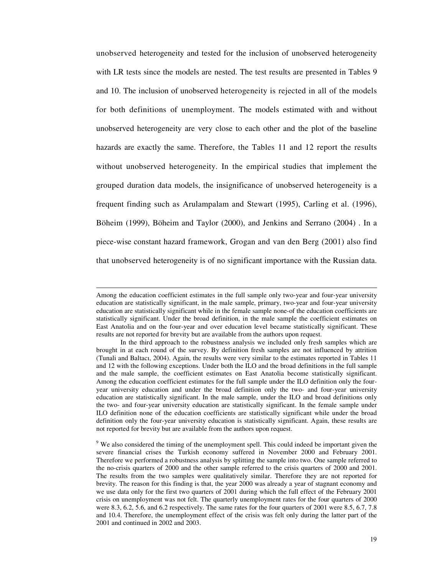unobserved heterogeneity and tested for the inclusion of unobserved heterogeneity with LR tests since the models are nested. The test results are presented in Tables 9 and 10. The inclusion of unobserved heterogeneity is rejected in all of the models for both definitions of unemployment. The models estimated with and without unobserved heterogeneity are very close to each other and the plot of the baseline hazards are exactly the same. Therefore, the Tables 11 and 12 report the results without unobserved heterogeneity. In the empirical studies that implement the grouped duration data models, the insignificance of unobserved heterogeneity is a frequent finding such as Arulampalam and Stewart (1995), Carling et al. (1996), Böheim (1999), Böheim and Taylor (2000), and Jenkins and Serrano (2004) . In a piece-wise constant hazard framework, Grogan and van den Berg (2001) also find that unobserved heterogeneity is of no significant importance with the Russian data.

 $\overline{a}$ 

Among the education coefficient estimates in the full sample only two-year and four-year university education are statistically significant, in the male sample, primary, two-year and four-year university education are statistically significant while in the female sample none-of the education coefficients are statistically significant. Under the broad definition, in the male sample the coefficient estimates on East Anatolia and on the four-year and over education level became statistically significant. These results are not reported for brevity but are available from the authors upon request.

In the third approach to the robustness analysis we included only fresh samples which are brought in at each round of the survey. By definition fresh samples are not influenced by attrition (Tunali and Baltacı, 2004). Again, the results were very similar to the estimates reported in Tables 11 and 12 with the following exceptions. Under both the ILO and the broad definitions in the full sample and the male sample, the coefficient estimates on East Anatolia become statistically significant. Among the education coefficient estimates for the full sample under the ILO definition only the fouryear university education and under the broad definition only the two- and four-year university education are statistically significant. In the male sample, under the ILO and broad definitions only the two- and four-year university education are statistically significant. In the female sample under ILO definition none of the education coefficients are statistically significant while under the broad definition only the four-year university education is statistically significant. Again, these results are not reported for brevity but are available from the authors upon request.

<sup>&</sup>lt;sup>9</sup> We also considered the timing of the unemployment spell. This could indeed be important given the severe financial crises the Turkish economy suffered in November 2000 and February 2001. Therefore we performed a robustness analysis by splitting the sample into two. One sample referred to the no-crisis quarters of 2000 and the other sample referred to the crisis quarters of 2000 and 2001. The results from the two samples were qualitatively similar. Therefore they are not reported for brevity. The reason for this finding is that, the year 2000 was already a year of stagnant economy and we use data only for the first two quarters of 2001 during which the full effect of the February 2001 crisis on unemployment was not felt. The quarterly unemployment rates for the four quarters of 2000 were 8.3, 6.2, 5.6, and 6.2 respectively. The same rates for the four quarters of 2001 were 8.5, 6.7, 7.8 and 10.4. Therefore, the unemployment effect of the crisis was felt only during the latter part of the 2001 and continued in 2002 and 2003.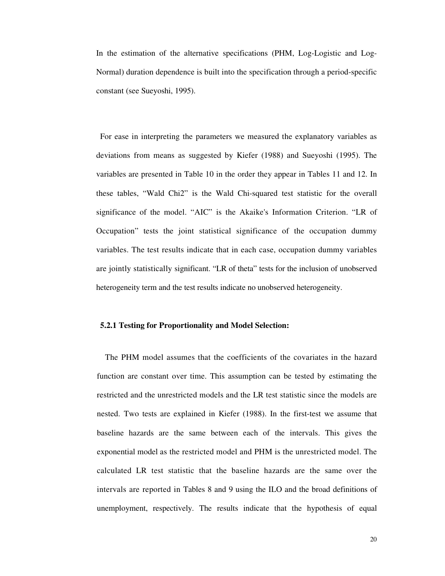In the estimation of the alternative specifications (PHM, Log-Logistic and Log-Normal) duration dependence is built into the specification through a period-specific constant (see Sueyoshi, 1995).

For ease in interpreting the parameters we measured the explanatory variables as deviations from means as suggested by Kiefer (1988) and Sueyoshi (1995). The variables are presented in Table 10 in the order they appear in Tables 11 and 12. In these tables, "Wald Chi2" is the Wald Chi-squared test statistic for the overall significance of the model. "AIC" is the Akaike's Information Criterion. "LR of Occupation" tests the joint statistical significance of the occupation dummy variables. The test results indicate that in each case, occupation dummy variables are jointly statistically significant. "LR of theta" tests for the inclusion of unobserved heterogeneity term and the test results indicate no unobserved heterogeneity.

#### **5.2.1 Testing for Proportionality and Model Selection:**

 The PHM model assumes that the coefficients of the covariates in the hazard function are constant over time. This assumption can be tested by estimating the restricted and the unrestricted models and the LR test statistic since the models are nested. Two tests are explained in Kiefer (1988). In the first-test we assume that baseline hazards are the same between each of the intervals. This gives the exponential model as the restricted model and PHM is the unrestricted model. The calculated LR test statistic that the baseline hazards are the same over the intervals are reported in Tables 8 and 9 using the ILO and the broad definitions of unemployment, respectively. The results indicate that the hypothesis of equal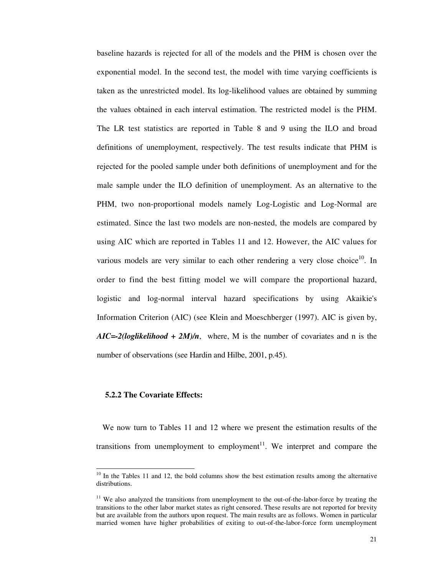baseline hazards is rejected for all of the models and the PHM is chosen over the exponential model. In the second test, the model with time varying coefficients is taken as the unrestricted model. Its log-likelihood values are obtained by summing the values obtained in each interval estimation. The restricted model is the PHM. The LR test statistics are reported in Table 8 and 9 using the ILO and broad definitions of unemployment, respectively. The test results indicate that PHM is rejected for the pooled sample under both definitions of unemployment and for the male sample under the ILO definition of unemployment. As an alternative to the PHM, two non-proportional models namely Log-Logistic and Log-Normal are estimated. Since the last two models are non-nested, the models are compared by using AIC which are reported in Tables 11 and 12. However, the AIC values for various models are very similar to each other rendering a very close choice<sup>10</sup>. In order to find the best fitting model we will compare the proportional hazard, logistic and log-normal interval hazard specifications by using Akaikie's Information Criterion (AIC) (see Klein and Moeschberger (1997). AIC is given by,  $AIC = -2(loglikelihood + 2M)/n$ , where, M is the number of covariates and n is the number of observations (see Hardin and Hilbe, 2001, p.45).

#### **5.2.2 The Covariate Effects:**

 $\overline{a}$ 

 We now turn to Tables 11 and 12 where we present the estimation results of the transitions from unemployment to employment<sup>11</sup>. We interpret and compare the

 $10$  In the Tables 11 and 12, the bold columns show the best estimation results among the alternative distributions.

 $11$  We also analyzed the transitions from unemployment to the out-of-the-labor-force by treating the transitions to the other labor market states as right censored. These results are not reported for brevity but are available from the authors upon request. The main results are as follows. Women in particular married women have higher probabilities of exiting to out-of-the-labor-force form unemployment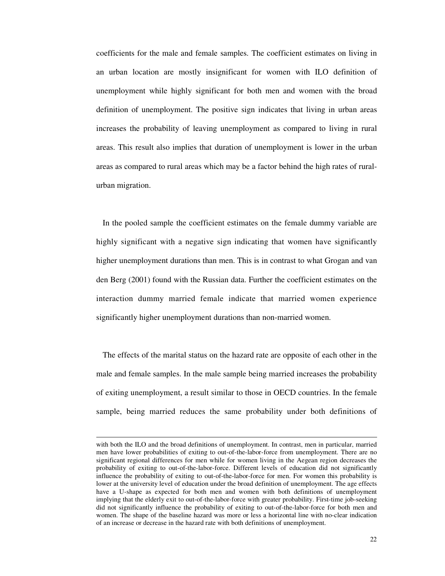coefficients for the male and female samples. The coefficient estimates on living in an urban location are mostly insignificant for women with ILO definition of unemployment while highly significant for both men and women with the broad definition of unemployment. The positive sign indicates that living in urban areas increases the probability of leaving unemployment as compared to living in rural areas. This result also implies that duration of unemployment is lower in the urban areas as compared to rural areas which may be a factor behind the high rates of ruralurban migration.

In the pooled sample the coefficient estimates on the female dummy variable are highly significant with a negative sign indicating that women have significantly higher unemployment durations than men. This is in contrast to what Grogan and van den Berg (2001) found with the Russian data. Further the coefficient estimates on the interaction dummy married female indicate that married women experience significantly higher unemployment durations than non-married women.

The effects of the marital status on the hazard rate are opposite of each other in the male and female samples. In the male sample being married increases the probability of exiting unemployment, a result similar to those in OECD countries. In the female sample, being married reduces the same probability under both definitions of

 $\overline{a}$ 

with both the ILO and the broad definitions of unemployment. In contrast, men in particular, married men have lower probabilities of exiting to out-of-the-labor-force from unemployment. There are no significant regional differences for men while for women living in the Aegean region decreases the probability of exiting to out-of-the-labor-force. Different levels of education did not significantly influence the probability of exiting to out-of-the-labor-force for men. For women this probability is lower at the university level of education under the broad definition of unemployment. The age effects have a U-shape as expected for both men and women with both definitions of unemployment implying that the elderly exit to out-of-the-labor-force with greater probability. First-time job-seeking did not significantly influence the probability of exiting to out-of-the-labor-force for both men and women. The shape of the baseline hazard was more or less a horizontal line with no-clear indication of an increase or decrease in the hazard rate with both definitions of unemployment.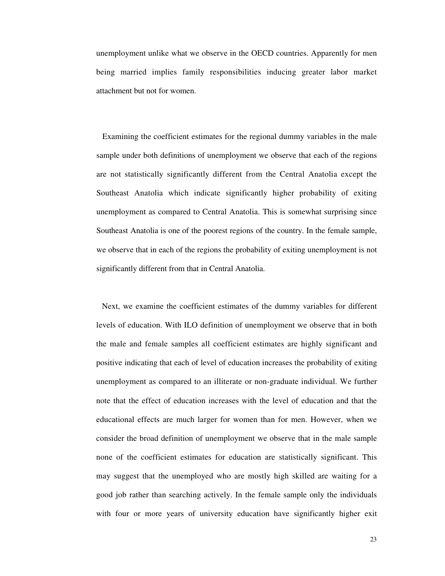unemployment unlike what we observe in the OECD countries. Apparently for men being married implies family responsibilities inducing greater labor market attachment but not for women.

Examining the coefficient estimates for the regional dummy variables in the male sample under both definitions of unemployment we observe that each of the regions are not statistically significantly different from the Central Anatolia except the Southeast Anatolia which indicate significantly higher probability of exiting unemployment as compared to Central Anatolia. This is somewhat surprising since Southeast Anatolia is one of the poorest regions of the country. In the female sample, we observe that in each of the regions the probability of exiting unemployment is not significantly different from that in Central Anatolia.

Next, we examine the coefficient estimates of the dummy variables for different levels of education. With ILO definition of unemployment we observe that in both the male and female samples all coefficient estimates are highly significant and positive indicating that each of level of education increases the probability of exiting unemployment as compared to an illiterate or non-graduate individual. We further note that the effect of education increases with the level of education and that the educational effects are much larger for women than for men. However, when we consider the broad definition of unemployment we observe that in the male sample none of the coefficient estimates for education are statistically significant. This may suggest that the unemployed who are mostly high skilled are waiting for a good job rather than searching actively. In the female sample only the individuals with four or more years of university education have significantly higher exit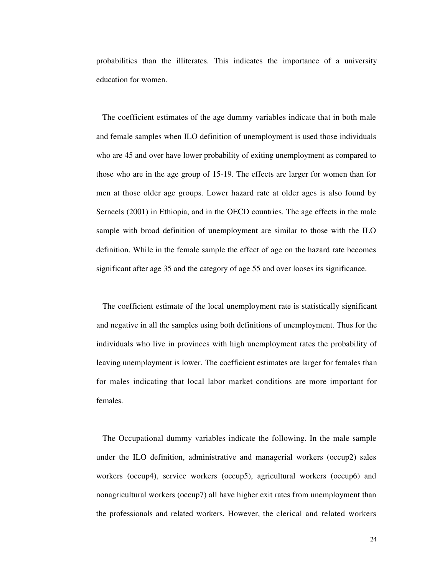probabilities than the illiterates. This indicates the importance of a university education for women.

The coefficient estimates of the age dummy variables indicate that in both male and female samples when ILO definition of unemployment is used those individuals who are 45 and over have lower probability of exiting unemployment as compared to those who are in the age group of 15-19. The effects are larger for women than for men at those older age groups. Lower hazard rate at older ages is also found by Serneels (2001) in Ethiopia, and in the OECD countries. The age effects in the male sample with broad definition of unemployment are similar to those with the ILO definition. While in the female sample the effect of age on the hazard rate becomes significant after age 35 and the category of age 55 and over looses its significance.

The coefficient estimate of the local unemployment rate is statistically significant and negative in all the samples using both definitions of unemployment. Thus for the individuals who live in provinces with high unemployment rates the probability of leaving unemployment is lower. The coefficient estimates are larger for females than for males indicating that local labor market conditions are more important for females.

The Occupational dummy variables indicate the following. In the male sample under the ILO definition, administrative and managerial workers (occup2) sales workers (occup4), service workers (occup5), agricultural workers (occup6) and nonagricultural workers (occup7) all have higher exit rates from unemployment than the professionals and related workers. However, the clerical and related workers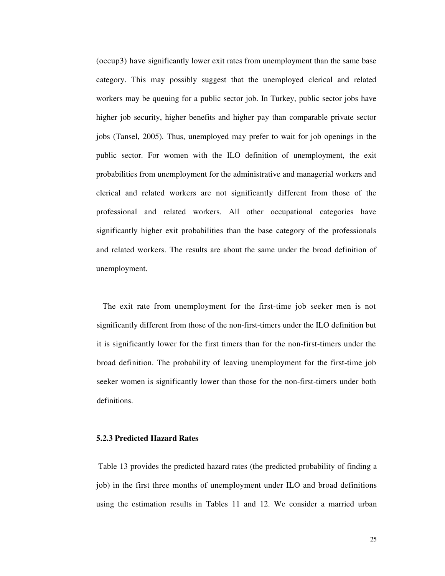(occup3) have significantly lower exit rates from unemployment than the same base category. This may possibly suggest that the unemployed clerical and related workers may be queuing for a public sector job. In Turkey, public sector jobs have higher job security, higher benefits and higher pay than comparable private sector jobs (Tansel, 2005). Thus, unemployed may prefer to wait for job openings in the public sector. For women with the ILO definition of unemployment, the exit probabilities from unemployment for the administrative and managerial workers and clerical and related workers are not significantly different from those of the professional and related workers. All other occupational categories have significantly higher exit probabilities than the base category of the professionals and related workers. The results are about the same under the broad definition of unemployment.

The exit rate from unemployment for the first-time job seeker men is not significantly different from those of the non-first-timers under the ILO definition but it is significantly lower for the first timers than for the non-first-timers under the broad definition. The probability of leaving unemployment for the first-time job seeker women is significantly lower than those for the non-first-timers under both definitions.

#### **5.2.3 Predicted Hazard Rates**

 Table 13 provides the predicted hazard rates (the predicted probability of finding a job) in the first three months of unemployment under ILO and broad definitions using the estimation results in Tables 11 and 12. We consider a married urban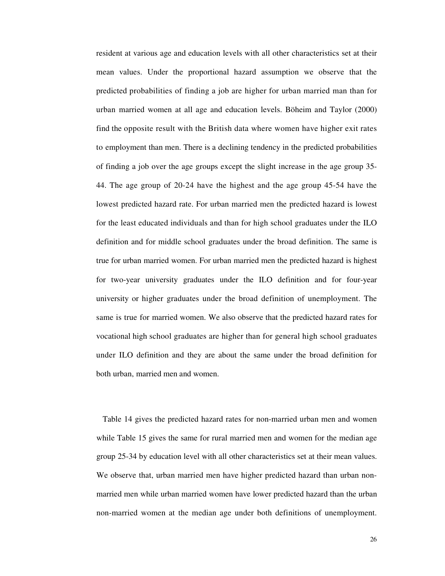resident at various age and education levels with all other characteristics set at their mean values. Under the proportional hazard assumption we observe that the predicted probabilities of finding a job are higher for urban married man than for urban married women at all age and education levels. Böheim and Taylor (2000) find the opposite result with the British data where women have higher exit rates to employment than men. There is a declining tendency in the predicted probabilities of finding a job over the age groups except the slight increase in the age group 35- 44. The age group of 20-24 have the highest and the age group 45-54 have the lowest predicted hazard rate. For urban married men the predicted hazard is lowest for the least educated individuals and than for high school graduates under the ILO definition and for middle school graduates under the broad definition. The same is true for urban married women. For urban married men the predicted hazard is highest for two-year university graduates under the ILO definition and for four-year university or higher graduates under the broad definition of unemployment. The same is true for married women. We also observe that the predicted hazard rates for vocational high school graduates are higher than for general high school graduates under ILO definition and they are about the same under the broad definition for both urban, married men and women.

Table 14 gives the predicted hazard rates for non-married urban men and women while Table 15 gives the same for rural married men and women for the median age group 25-34 by education level with all other characteristics set at their mean values. We observe that, urban married men have higher predicted hazard than urban nonmarried men while urban married women have lower predicted hazard than the urban non-married women at the median age under both definitions of unemployment.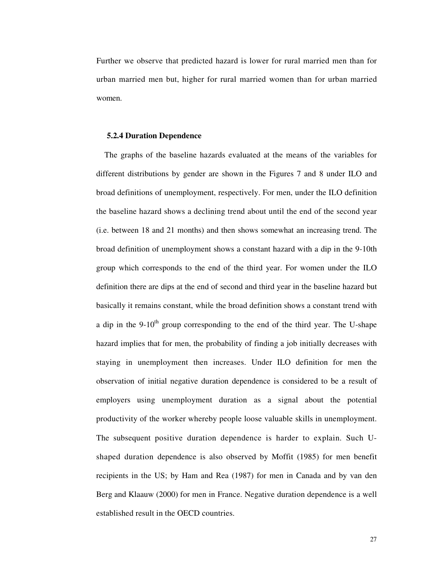Further we observe that predicted hazard is lower for rural married men than for urban married men but, higher for rural married women than for urban married women.

#### **5.2.4 Duration Dependence**

The graphs of the baseline hazards evaluated at the means of the variables for different distributions by gender are shown in the Figures 7 and 8 under ILO and broad definitions of unemployment, respectively. For men, under the ILO definition the baseline hazard shows a declining trend about until the end of the second year (i.e. between 18 and 21 months) and then shows somewhat an increasing trend. The broad definition of unemployment shows a constant hazard with a dip in the 9-10th group which corresponds to the end of the third year. For women under the ILO definition there are dips at the end of second and third year in the baseline hazard but basically it remains constant, while the broad definition shows a constant trend with a dip in the 9-10<sup>th</sup> group corresponding to the end of the third year. The U-shape hazard implies that for men, the probability of finding a job initially decreases with staying in unemployment then increases. Under ILO definition for men the observation of initial negative duration dependence is considered to be a result of employers using unemployment duration as a signal about the potential productivity of the worker whereby people loose valuable skills in unemployment. The subsequent positive duration dependence is harder to explain. Such Ushaped duration dependence is also observed by Moffit (1985) for men benefit recipients in the US; by Ham and Rea (1987) for men in Canada and by van den Berg and Klaauw (2000) for men in France. Negative duration dependence is a well established result in the OECD countries.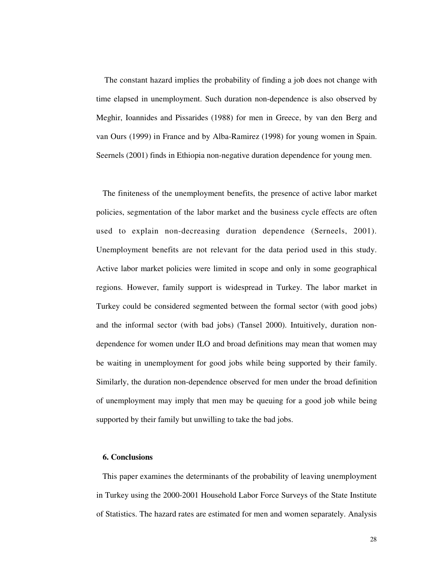The constant hazard implies the probability of finding a job does not change with time elapsed in unemployment. Such duration non-dependence is also observed by Meghir, Ioannides and Pissarides (1988) for men in Greece, by van den Berg and van Ours (1999) in France and by Alba-Ramirez (1998) for young women in Spain. Seernels (2001) finds in Ethiopia non-negative duration dependence for young men.

The finiteness of the unemployment benefits, the presence of active labor market policies, segmentation of the labor market and the business cycle effects are often used to explain non-decreasing duration dependence (Serneels, 2001). Unemployment benefits are not relevant for the data period used in this study. Active labor market policies were limited in scope and only in some geographical regions. However, family support is widespread in Turkey. The labor market in Turkey could be considered segmented between the formal sector (with good jobs) and the informal sector (with bad jobs) (Tansel 2000). Intuitively, duration nondependence for women under ILO and broad definitions may mean that women may be waiting in unemployment for good jobs while being supported by their family. Similarly, the duration non-dependence observed for men under the broad definition of unemployment may imply that men may be queuing for a good job while being supported by their family but unwilling to take the bad jobs.

## **6. Conclusions**

This paper examines the determinants of the probability of leaving unemployment in Turkey using the 2000-2001 Household Labor Force Surveys of the State Institute of Statistics. The hazard rates are estimated for men and women separately. Analysis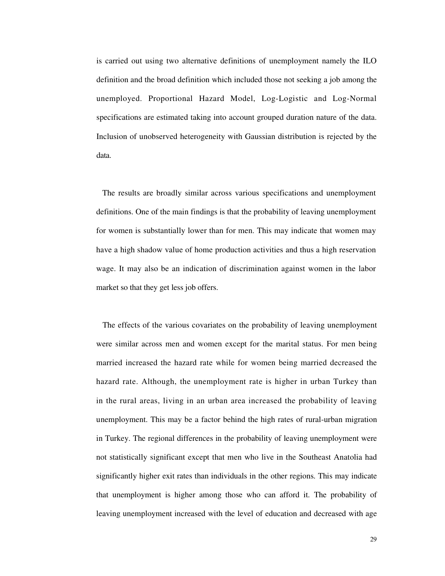is carried out using two alternative definitions of unemployment namely the ILO definition and the broad definition which included those not seeking a job among the unemployed. Proportional Hazard Model, Log-Logistic and Log-Normal specifications are estimated taking into account grouped duration nature of the data. Inclusion of unobserved heterogeneity with Gaussian distribution is rejected by the data.

The results are broadly similar across various specifications and unemployment definitions. One of the main findings is that the probability of leaving unemployment for women is substantially lower than for men. This may indicate that women may have a high shadow value of home production activities and thus a high reservation wage. It may also be an indication of discrimination against women in the labor market so that they get less job offers.

The effects of the various covariates on the probability of leaving unemployment were similar across men and women except for the marital status. For men being married increased the hazard rate while for women being married decreased the hazard rate. Although, the unemployment rate is higher in urban Turkey than in the rural areas, living in an urban area increased the probability of leaving unemployment. This may be a factor behind the high rates of rural-urban migration in Turkey. The regional differences in the probability of leaving unemployment were not statistically significant except that men who live in the Southeast Anatolia had significantly higher exit rates than individuals in the other regions. This may indicate that unemployment is higher among those who can afford it. The probability of leaving unemployment increased with the level of education and decreased with age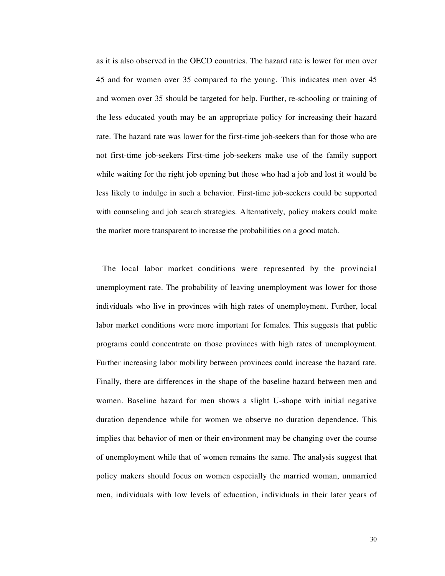as it is also observed in the OECD countries. The hazard rate is lower for men over 45 and for women over 35 compared to the young. This indicates men over 45 and women over 35 should be targeted for help. Further, re-schooling or training of the less educated youth may be an appropriate policy for increasing their hazard rate. The hazard rate was lower for the first-time job-seekers than for those who are not first-time job-seekers First-time job-seekers make use of the family support while waiting for the right job opening but those who had a job and lost it would be less likely to indulge in such a behavior. First-time job-seekers could be supported with counseling and job search strategies. Alternatively, policy makers could make the market more transparent to increase the probabilities on a good match.

The local labor market conditions were represented by the provincial unemployment rate. The probability of leaving unemployment was lower for those individuals who live in provinces with high rates of unemployment. Further, local labor market conditions were more important for females. This suggests that public programs could concentrate on those provinces with high rates of unemployment. Further increasing labor mobility between provinces could increase the hazard rate. Finally, there are differences in the shape of the baseline hazard between men and women. Baseline hazard for men shows a slight U-shape with initial negative duration dependence while for women we observe no duration dependence. This implies that behavior of men or their environment may be changing over the course of unemployment while that of women remains the same. The analysis suggest that policy makers should focus on women especially the married woman, unmarried men, individuals with low levels of education, individuals in their later years of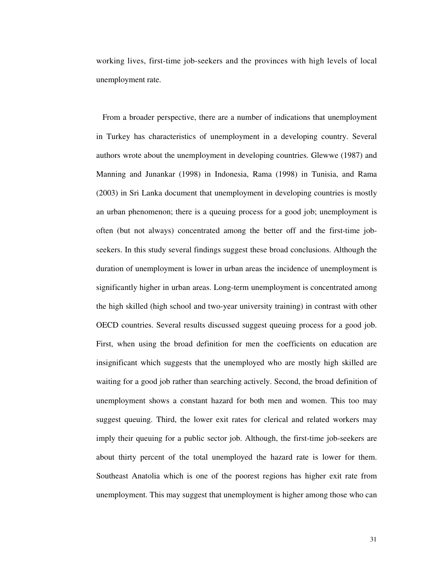working lives, first-time job-seekers and the provinces with high levels of local unemployment rate.

From a broader perspective, there are a number of indications that unemployment in Turkey has characteristics of unemployment in a developing country. Several authors wrote about the unemployment in developing countries. Glewwe (1987) and Manning and Junankar (1998) in Indonesia, Rama (1998) in Tunisia, and Rama (2003) in Sri Lanka document that unemployment in developing countries is mostly an urban phenomenon; there is a queuing process for a good job; unemployment is often (but not always) concentrated among the better off and the first-time jobseekers. In this study several findings suggest these broad conclusions. Although the duration of unemployment is lower in urban areas the incidence of unemployment is significantly higher in urban areas. Long-term unemployment is concentrated among the high skilled (high school and two-year university training) in contrast with other OECD countries. Several results discussed suggest queuing process for a good job. First, when using the broad definition for men the coefficients on education are insignificant which suggests that the unemployed who are mostly high skilled are waiting for a good job rather than searching actively. Second, the broad definition of unemployment shows a constant hazard for both men and women. This too may suggest queuing. Third, the lower exit rates for clerical and related workers may imply their queuing for a public sector job. Although, the first-time job-seekers are about thirty percent of the total unemployed the hazard rate is lower for them. Southeast Anatolia which is one of the poorest regions has higher exit rate from unemployment. This may suggest that unemployment is higher among those who can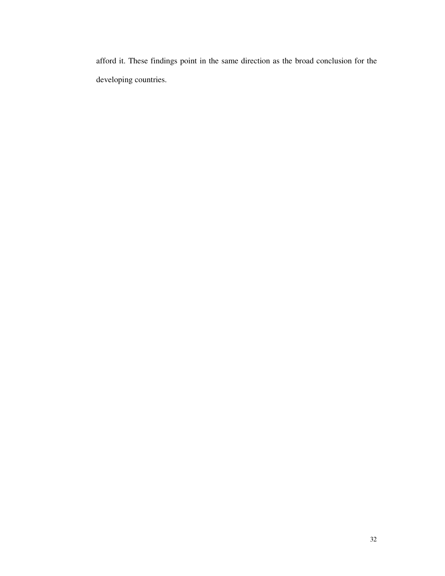afford it. These findings point in the same direction as the broad conclusion for the developing countries.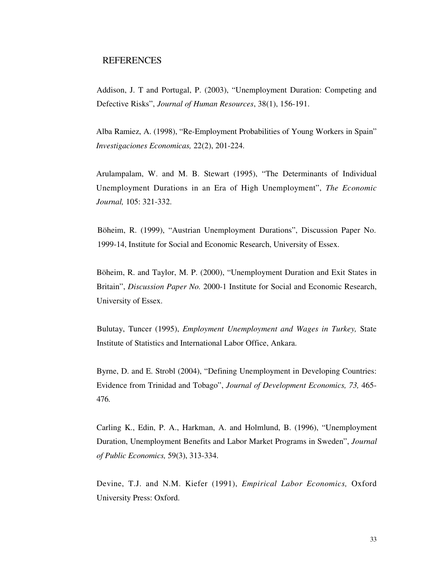## **REFERENCES**

Addison, J. T and Portugal, P. (2003), "Unemployment Duration: Competing and Defective Risks", *Journal of Human Resources*, 38(1), 156-191.

Alba Ramiez, A. (1998), "Re-Employment Probabilities of Young Workers in Spain" *Investigaciones Economicas,* 22(2), 201-224.

Arulampalam, W. and M. B. Stewart (1995), "The Determinants of Individual Unemployment Durations in an Era of High Unemployment", *The Economic Journal,* 105: 321-332.

Böheim, R. (1999), "Austrian Unemployment Durations", Discussion Paper No. 1999-14, Institute for Social and Economic Research, University of Essex.

Böheim, R. and Taylor, M. P. (2000), "Unemployment Duration and Exit States in Britain", *Discussion Paper No.* 2000-1 Institute for Social and Economic Research, University of Essex.

Bulutay, Tuncer (1995), *Employment Unemployment and Wages in Turkey,* State Institute of Statistics and International Labor Office, Ankara.

Byrne, D. and E. Strobl (2004), "Defining Unemployment in Developing Countries: Evidence from Trinidad and Tobago", *Journal of Development Economics, 73,* 465- 476.

Carling K., Edin, P. A., Harkman, A. and Holmlund, B. (1996), "Unemployment Duration, Unemployment Benefits and Labor Market Programs in Sweden", *Journal of Public Economics,* 59(3), 313-334.

Devine, T.J. and N.M. Kiefer (1991), *Empirical Labor Economics,* Oxford University Press: Oxford.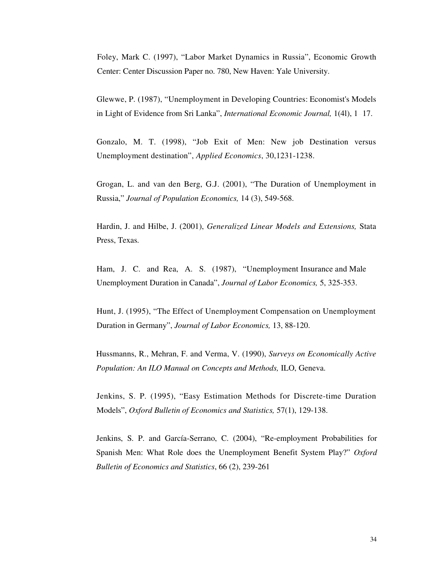Foley, Mark C. (1997), "Labor Market Dynamics in Russia", Economic Growth Center: Center Discussion Paper no. 780, New Haven: Yale University.

Glewwe, P. (1987), "Unemployment in Developing Countries: Economist's Models in Light of Evidence from Sri Lanka", *International Economic Journal,* 1(4l), 1 17.

Gonzalo, M. T. (1998), "Job Exit of Men: New job Destination versus Unemployment destination", *Applied Economics*, 30,1231-1238.

Grogan, L. and van den Berg, G.J. (2001), "The Duration of Unemployment in Russia," *Journal of Population Economics,* 14 (3), 549-568.

Hardin, J. and Hilbe, J. (2001), *Generalized Linear Models and Extensions,* Stata Press, Texas.

Ham, J. C. and Rea, A. S. (1987), "Unemployment Insurance and Male Unemployment Duration in Canada", *Journal of Labor Economics,* 5, 325-353.

Hunt, J. (1995), "The Effect of Unemployment Compensation on Unemployment Duration in Germany", *Journal of Labor Economics,* 13, 88-120.

Hussmanns, R., Mehran, F. and Verma, V. (1990), *Surveys on Economically Active Population: An ILO Manual on Concepts and Methods,* ILO, Geneva.

Jenkins, S. P. (1995), "Easy Estimation Methods for Discrete-time Duration Models", *Oxford Bulletin of Economics and Statistics,* 57(1), 129-138.

Jenkins, S. P. and García-Serrano, C. (2004), "Re-employment Probabilities for Spanish Men: What Role does the Unemployment Benefit System Play?" *Oxford Bulletin of Economics and Statistics*, 66 (2), 239-261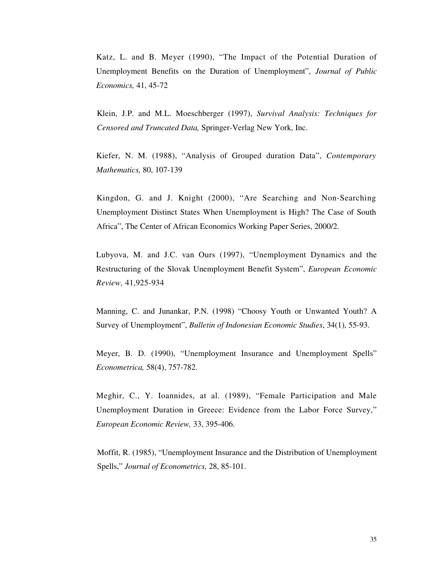Katz, L. and B. Meyer (1990), "The Impact of the Potential Duration of Unemployment Benefits on the Duration of Unemployment", *Journal of Public Economics,* 41, 45-72

Klein, J.P. and M.L. Moeschberger (1997), *Survival Analysis: Techniques for Censored and Truncated Data,* Springer-Verlag New York, Inc.

Kiefer, N. M. (1988), "Analysis of Grouped duration Data", *Contemporary Mathematics,* 80, 107-139

Kingdon, G. and J. Knight (2000), "Are Searching and Non-Searching Unemployment Distinct States When Unemployment is High? The Case of South Africa", The Center of African Economics Working Paper Series, 2000/2.

Lubyova, M. and J.C. van Ours (1997), "Unemployment Dynamics and the Restructuring of the Slovak Unemployment Benefit System", *European Economic Review,* 41,925-934

Manning, C. and Junankar, P.N. (1998) "Choosy Youth or Unwanted Youth? A Survey of Unemployment", *Bulletin of Indonesian Economic Studies*, 34(1), 55-93.

Meyer, B. D. (1990), "Unemployment Insurance and Unemployment Spells" *Econometrica,* 58(4), 757-782.

Meghir, C., Y. Ioannides, at al. (1989), "Female Participation and Male Unemployment Duration in Greece: Evidence from the Labor Force Survey," *European Economic Review,* 33, 395-406.

Moffit, R. (1985), "Unemployment Insurance and the Distribution of Unemployment Spells," *Journal of Econometrics,* 28, 85-101.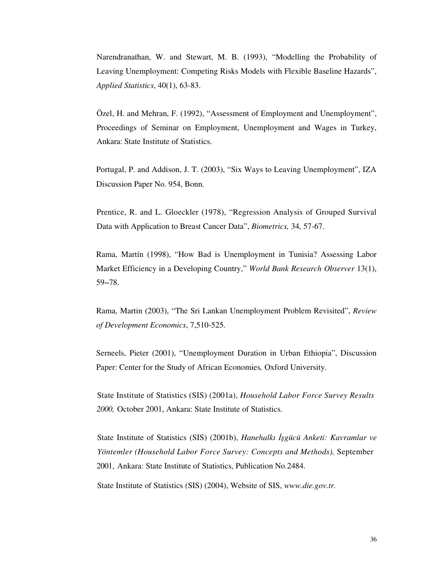Narendranathan, W. and Stewart, M. B. (1993), "Modelling the Probability of Leaving Unemployment: Competing Risks Models with Flexible Baseline Hazards", *Applied Statistics*, 40(1), 63-83.

Özel, H. and Mehran, F. (1992), "Assessment of Employment and Unemployment", Proceedings of Seminar on Employment, Unemployment and Wages in Turkey, Ankara: State Institute of Statistics.

Portugal, P. and Addison, J. T. (2003), "Six Ways to Leaving Unemployment", IZA Discussion Paper No. 954, Bonn.

Prentice, R. and L. Gloeckler (1978), "Regression Analysis of Grouped Survival Data with Application to Breast Cancer Data", *Biometrics,* 34, 57-67.

Rama, Martín (1998), "How Bad is Unemployment in Tunisia? Assessing Labor Market Efficiency in a Developing Country," *World Bank Research Observer* 13(1),  $59 - 78.$ 

Rama, Martin (2003), "The Sri Lankan Unemployment Problem Revisited", *Review of Development Economics*, 7,510-525.

Serneels, Pieter (2001), "Unemployment Duration in Urban Ethiopia", Discussion Paper: Center for the Study of African Economies*,* Oxford University.

State Institute of Statistics (SIS) (2001a), *Household Labor Force Survey Results 2000,* October 2001, Ankara: State Institute of Statistics.

State Institute of Statistics (SIS) (2001b), *Hanehalkı* İş*gücü Anketi: Kavramlar ve Yöntemler (Household Labor Force Survey: Concepts and Methods),* September 2001, Ankara: State Institute of Statistics, Publication No.2484.

State Institute of Statistics (SIS) (2004), Website of SIS, *www.die.gov.tr.*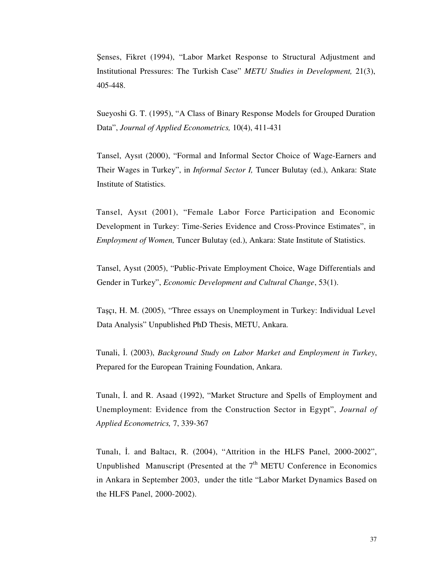Şenses, Fikret (1994), "Labor Market Response to Structural Adjustment and Institutional Pressures: The Turkish Case" *METU Studies in Development,* 21(3), 405-448.

Sueyoshi G. T. (1995), "A Class of Binary Response Models for Grouped Duration Data", *Journal of Applied Econometrics,* 10(4), 411-431

Tansel, Aysıt (2000), "Formal and Informal Sector Choice of Wage-Earners and Their Wages in Turkey", in *Informal Sector I,* Tuncer Bulutay (ed.), Ankara: State Institute of Statistics.

Tansel, Aysıt (2001), "Female Labor Force Participation and Economic Development in Turkey: Time-Series Evidence and Cross-Province Estimates", in *Employment of Women,* Tuncer Bulutay (ed.), Ankara: State Institute of Statistics.

Tansel, Aysıt (2005), "Public-Private Employment Choice, Wage Differentials and Gender in Turkey", *Economic Development and Cultural Change*, 53(1).

Taşçı, H. M. (2005), "Three essays on Unemployment in Turkey: Individual Level Data Analysis" Unpublished PhD Thesis, METU, Ankara.

Tunali, İ. (2003), *Background Study on Labor Market and Employment in Turkey*, Prepared for the European Training Foundation, Ankara.

Tunalı, İ. and R. Asaad (1992), "Market Structure and Spells of Employment and Unemployment: Evidence from the Construction Sector in Egypt", *Journal of Applied Econometrics,* 7, 339-367

Tunalı, İ. and Baltacı, R. (2004), "Attrition in the HLFS Panel, 2000-2002", Unpublished Manuscript (Presented at the  $7<sup>th</sup>$  METU Conference in Economics in Ankara in September 2003, under the title "Labor Market Dynamics Based on the HLFS Panel, 2000-2002).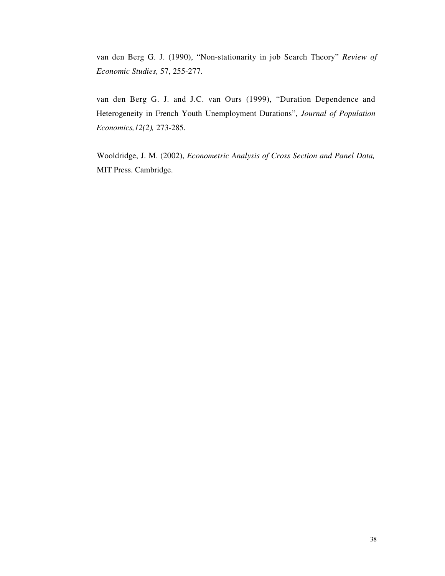van den Berg G. J. (1990), "Non-stationarity in job Search Theory" *Review of Economic Studies,* 57, 255-277.

van den Berg G. J. and J.C. van Ours (1999), "Duration Dependence and Heterogeneity in French Youth Unemployment Durations", *Journal of Population Economics,12(2),* 273-285.

Wooldridge, J. M. (2002), *Econometric Analysis of Cross Section and Panel Data,*  MIT Press. Cambridge.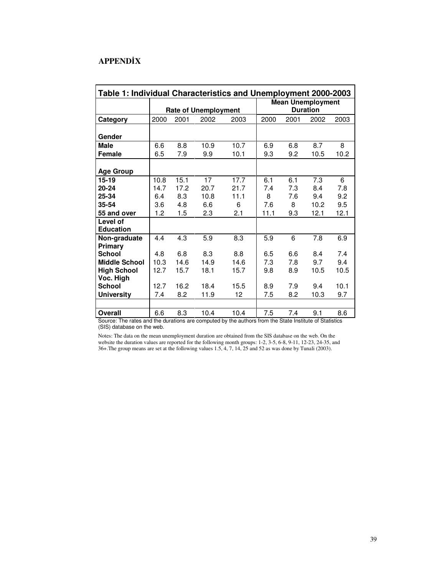# **APPEND**İ**X**

| Table 1: Individual Characteristics and Unemployment 2000-2003 |      |      |                             |      |      |      |                          |      |
|----------------------------------------------------------------|------|------|-----------------------------|------|------|------|--------------------------|------|
|                                                                |      |      |                             |      |      |      | <b>Mean Unemployment</b> |      |
|                                                                |      |      | <b>Rate of Unemployment</b> |      |      |      | <b>Duration</b>          |      |
| <b>Category</b>                                                | 2000 | 2001 | 2002                        | 2003 | 2000 | 2001 | 2002                     | 2003 |
|                                                                |      |      |                             |      |      |      |                          |      |
| Gender                                                         |      |      |                             |      |      |      |                          |      |
| Male                                                           | 6.6  | 8.8  | 10.9                        | 10.7 | 6.9  | 6.8  | 8.7                      | 8    |
| Female                                                         | 6.5  | 7.9  | 9.9                         | 10.1 | 9.3  | 9.2  | 10.5                     | 10.2 |
|                                                                |      |      |                             |      |      |      |                          |      |
| <b>Age Group</b>                                               |      |      |                             |      |      |      |                          |      |
| 15-19                                                          | 10.8 | 15.1 | 17                          | 17.7 | 6.1  | 6.1  | 7.3                      | 6    |
| 20-24                                                          | 14.7 | 17.2 | 20.7                        | 21.7 | 7.4  | 7.3  | 8.4                      | 7.8  |
| 25-34                                                          | 6.4  | 8.3  | 10.8                        | 11.1 | 8    | 7.6  | 9.4                      | 9.2  |
| 35-54                                                          | 3.6  | 4.8  | 6.6                         | 6    | 7.6  | 8    | 10.2                     | 9.5  |
| 55 and over                                                    | 1.2  | 1.5  | 2.3                         | 2.1  | 11.1 | 9.3  | 12.1                     | 12.1 |
| Level of                                                       |      |      |                             |      |      |      |                          |      |
| <b>Education</b>                                               |      |      |                             |      |      |      |                          |      |
| Non-graduate                                                   | 4.4  | 4.3  | 5.9                         | 8.3  | 5.9  | 6    | 7.8                      | 6.9  |
| Primary                                                        |      |      |                             |      |      |      |                          |      |
| School                                                         | 4.8  | 6.8  | 8.3                         | 8.8  | 6.5  | 6.6  | 8.4                      | 7.4  |
| <b>Middle School</b>                                           | 10.3 | 14.6 | 14.9                        | 14.6 | 7.3  | 7.8  | 9.7                      | 9.4  |
| <b>High School</b>                                             | 12.7 | 15.7 | 18.1                        | 15.7 | 9.8  | 8.9  | 10.5                     | 10.5 |
| Voc. High                                                      |      |      |                             |      |      |      |                          |      |
| <b>School</b>                                                  | 12.7 | 16.2 | 18.4                        | 15.5 | 8.9  | 7.9  | 9.4                      | 10.1 |
| <b>University</b>                                              | 7.4  | 8.2  | 11.9                        | 12   | 7.5  | 8.2  | 10.3                     | 9.7  |
|                                                                |      |      |                             |      |      |      |                          |      |
| <b>Overall</b>                                                 | 6.6  | 8.3  | 10.4                        | 10.4 | 7.5  | 7.4  | 9.1                      | 8.6  |

Source: The rates and the durations are computed by the authors from the State Institute of Statistics (SIS) database on the web.

Notes: The data on the mean unemployment duration are obtained from the SIS database on the web. On the website the duration values are reported for the following month groups: 1-2, 3-5, 6-8, 9-11, 12-23, 24-35, and 36+.The group means are set at the following values 1.5, 4, 7, 14, 25 and 52 as was done by Tunali (2003).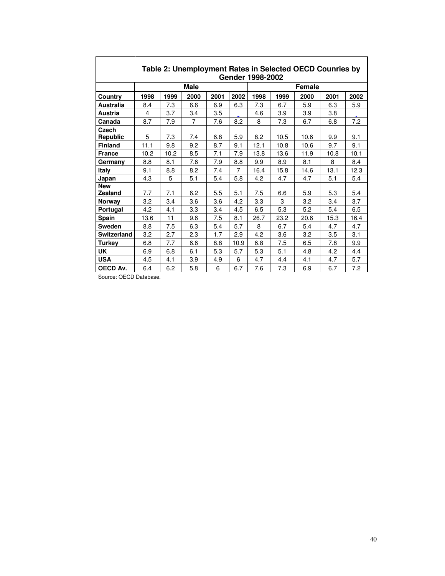|                              |                         |      |      |      |                | Gender 1998-2002 |      | Table 2: Unemployment Rates in Selected OECD Counries by |      |      |
|------------------------------|-------------------------|------|------|------|----------------|------------------|------|----------------------------------------------------------|------|------|
|                              |                         |      | Male |      |                | Female           |      |                                                          |      |      |
| Country                      | 1998                    | 1999 | 2000 | 2001 | 2002           | 1998             | 1999 | 2000                                                     | 2001 | 2002 |
| <b>Australia</b>             | 8.4                     | 7.3  | 6.6  | 6.9  | 6.3            | 7.3              | 6.7  | 5.9                                                      | 6.3  | 5.9  |
| Austria                      | $\overline{\mathbf{4}}$ | 3.7  | 3.4  | 3.5  |                | 4.6              | 3.9  | 3.9                                                      | 3.8  |      |
| Canada                       | 8.7                     | 7.9  | 7    | 7.6  | 8.2            | 8                | 7.3  | 6.7                                                      | 6.8  | 7.2  |
| Czech<br>Republic            | 5                       | 7.3  | 7.4  | 6.8  | 5.9            | 8.2              | 10.5 | 10.6                                                     | 9.9  | 9.1  |
| <b>Finland</b>               | 11.1                    | 9.8  | 9.2  | 8.7  | 9.1            | 12.1             | 10.8 | 10.6                                                     | 9.7  | 9.1  |
| <b>France</b>                | 10.2                    | 10.2 | 8.5  | 7.1  | 7.9            | 13.8             | 13.6 | 11.9                                                     | 10.8 | 10.1 |
| Germany                      | 8.8                     | 8.1  | 7.6  | 7.9  | 8.8            | 9.9              | 8.9  | 8.1                                                      | 8    | 8.4  |
| <b>Italy</b>                 | 9.1                     | 8.8  | 8.2  | 7.4  | $\overline{7}$ | 16.4             | 15.8 | 14.6                                                     | 13.1 | 12.3 |
| Japan                        | 4.3                     | 5    | 5.1  | 5.4  | 5.8            | 4.2              | 4.7  | 4.7                                                      | 5.1  | 5.4  |
| <b>New</b><br><b>Zealand</b> | 7.7                     | 7.1  | 6.2  | 5.5  | 5.1            | 7.5              | 6.6  | 5.9                                                      | 5.3  | 5.4  |
| Norway                       | 3.2                     | 3.4  | 3.6  | 3.6  | 4.2            | 3.3              | 3    | 3.2                                                      | 3.4  | 3.7  |
| Portugal                     | 4.2                     | 4.1  | 3.3  | 3.4  | 4.5            | 6.5              | 5.3  | 5.2                                                      | 5.4  | 6.5  |
| Spain                        | 13.6                    | 11   | 9.6  | 7.5  | 8.1            | 26.7             | 23.2 | 20.6                                                     | 15.3 | 16.4 |
| <b>Sweden</b>                | 8.8                     | 7.5  | 6.3  | 5.4  | 5.7            | 8                | 6.7  | 5.4                                                      | 4.7  | 4.7  |
| <b>Switzerland</b>           | 3.2                     | 2.7  | 2.3  | 1.7  | 2.9            | 4.2              | 3.6  | 3.2                                                      | 3.5  | 3.1  |
| <b>Turkey</b>                | 6.8                     | 7.7  | 6.6  | 8.8  | 10.9           | 6.8              | 7.5  | 6.5                                                      | 7.8  | 9.9  |
| <b>UK</b>                    | 6.9                     | 6.8  | 6.1  | 5.3  | 5.7            | 5.3              | 5.1  | 4.8                                                      | 4.2  | 4.4  |
| <b>USA</b>                   | 4.5                     | 4.1  | 3.9  | 4.9  | 6              | 4.7              | 4.4  | 4.1                                                      | 4.7  | 5.7  |
| <b>OECD Av.</b>              | 6.4                     | 6.2  | 5.8  | 6    | 6.7            | 7.6              | 7.3  | 6.9                                                      | 6.7  | 7.2  |

Source: OECD Database.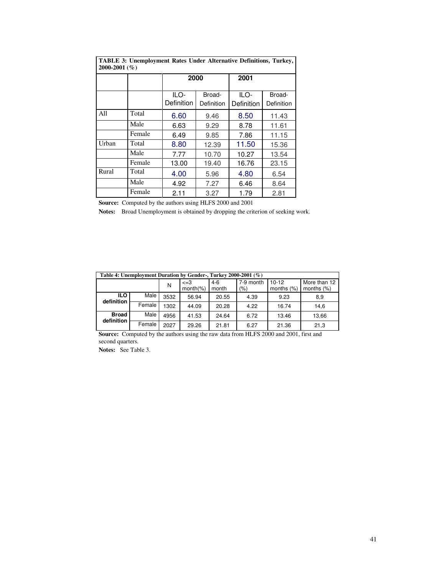| <b>TABLE 3: Unemployment Rates Under Alternative Definitions, Turkey,</b><br>$2000 - 2001$ (%) |        |                    |                      |                    |                      |  |  |
|------------------------------------------------------------------------------------------------|--------|--------------------|----------------------|--------------------|----------------------|--|--|
|                                                                                                |        |                    | 2000                 | 2001               |                      |  |  |
|                                                                                                |        | ILO-<br>Definition | Broad-<br>Definition | ILO-<br>Definition | Broad-<br>Definition |  |  |
| All                                                                                            | Total  | 6.60               | 9.46                 | 8.50               | 11.43                |  |  |
|                                                                                                | Male   | 6.63               | 9.29                 | 8.78               | 11.61                |  |  |
|                                                                                                | Female | 6.49               | 9.85                 | 7.86               | 11.15                |  |  |
| Urban                                                                                          | Total  | 8.80               | 12.39                | 11.50              | 15.36                |  |  |
|                                                                                                | Male   | 7.77               | 10.70                | 10.27              | 13.54                |  |  |
|                                                                                                | Female | 13.00              | 19.40                | 16.76              | 23.15                |  |  |
| Rural                                                                                          | Total  | 4.00               | 5.96                 | 4.80               | 6.54                 |  |  |
|                                                                                                | Male   | 4.92               | 7.27                 | 6.46               | 8.64                 |  |  |
|                                                                                                | Female | 2.11               | 3.27                 | 1.79               | 2.81                 |  |  |

**Source:** Computed by the authors using HLFS 2000 and 2001

**Notes:** Broad Unemployment is obtained by dropping the criterion of seeking work.

|                            | Table 4: Unemployment Duration by Gender-, Turkey 2000-2001 ( $\%$ ) |      |                          |                |                  |                         |                               |
|----------------------------|----------------------------------------------------------------------|------|--------------------------|----------------|------------------|-------------------------|-------------------------------|
|                            |                                                                      | N    | $\leq$ =3<br>$month(\%)$ | $4-6$<br>month | 7-9 month<br>(%) | $10-12$<br>months $(%)$ | More than 12<br>months $(\%)$ |
| <b>ILO</b><br>definition   | Male                                                                 | 3532 | 56.94                    | 20.55          | 4.39             | 9.23                    | 8,9                           |
|                            | Female I                                                             | 1302 | 44.09                    | 20.28          | 4.22             | 16.74                   | 14,6                          |
| <b>Broad</b><br>definition | Male                                                                 | 4956 | 41.53                    | 24.64          | 6.72             | 13.46                   | 13,66                         |
|                            | Female                                                               | 2027 | 29.26                    | 21.81          | 6.27             | 21.36                   | 21,3                          |

**Source:** Computed by the authors using the raw data from HLFS 2000 and 2001, first and second quarters.

**Notes:** See Table 3.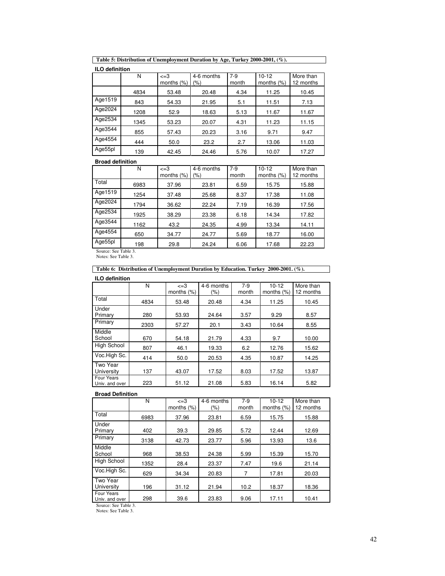|  | Table 5: Distribution of Unemployment Duration by Age, Turkey $2000-2001$ , $(\%)$ . |  |  |
|--|--------------------------------------------------------------------------------------|--|--|
|--|--------------------------------------------------------------------------------------|--|--|

## **ILO definition**

|         | N    | $\leq$ =3<br>months $(\%)$ | 4-6 months<br>(% ) | $7-9$<br>month | $10 - 12$<br>months $(\%)$ | More than<br>12 months |
|---------|------|----------------------------|--------------------|----------------|----------------------------|------------------------|
|         | 4834 | 53.48                      | 20.48              | 4.34           | 11.25                      | 10.45                  |
| Age1519 | 843  | 54.33                      | 21.95              | 5.1            | 11.51                      | 7.13                   |
| Age2024 | 1208 | 52.9                       | 18.63              | 5.13           | 11.67                      | 11.67                  |
| Age2534 | 1345 | 53.23                      | 20.07              | 4.31           | 11.23                      | 11.15                  |
| Age3544 | 855  | 57.43                      | 20.23              | 3.16           | 9.71                       | 9.47                   |
| Age4554 | 444  | 50.0                       | 23.2               | 2.7            | 13.06                      | 11.03                  |
| Age55pl | 139  | 42.45                      | 24.46              | 5.76           | 10.07                      | 17.27                  |

#### **Broad definition**

|         | N    | $\leq$ =3<br>months $(\%)$ | 4-6 months<br>(% ) | $7-9$<br>month | $10-12$<br>months $(%)$ | More than<br>12 months |
|---------|------|----------------------------|--------------------|----------------|-------------------------|------------------------|
| Total   | 6983 | 37.96                      | 23.81              | 6.59           | 15.75                   | 15.88                  |
| Age1519 | 1254 | 37.48                      | 25.68              | 8.37           | 17.38                   | 11.08                  |
| Age2024 | 1794 | 36.62                      | 22.24              | 7.19           | 16.39                   | 17.56                  |
| Age2534 | 1925 | 38.29                      | 23.38              | 6.18           | 14.34                   | 17.82                  |
| Age3544 | 1162 | 43.2                       | 24.35              | 4.99           | 13.34                   | 14.11                  |
| Age4554 | 650  | 34.77                      | 24.77              | 5.69           | 18.77                   | 16.00                  |
| Age55pl | 198  | 29.8                       | 24.24              | 6.06           | 17.68                   | 22.23                  |

Source: See Table 3. Notes: See Table 3.

**Table 6: Distribution of Unemployment Duration by Education. Turkey 2000-2001. (%). ILO definition** 

|                              | N    | $\epsilon = 3$<br>months $(%)$ | 4-6 months<br>$(\% )$ | $7-9$<br>month | $10-12$<br>months $(\%)$ | More than<br>12 months |
|------------------------------|------|--------------------------------|-----------------------|----------------|--------------------------|------------------------|
| Total                        | 4834 | 53.48                          | 20.48                 | 4.34           | 11.25                    | 10.45                  |
| Under<br>Primary             | 280  | 53.93                          | 24.64                 | 3.57           | 9.29                     | 8.57                   |
| Primary                      | 2303 | 57.27                          | 20.1                  | 3.43           | 10.64                    | 8.55                   |
| Middle<br>School             | 670  | 54.18                          | 21.79                 | 4.33           | 9.7                      | 10.00                  |
| <b>High School</b>           | 807  | 46.1                           | 19.33                 | 6.2            | 12.76                    | 15.62                  |
| Voc.High Sc.                 | 414  | 50.0                           | 20.53                 | 4.35           | 10.87                    | 14.25                  |
| Two Year<br>University       | 137  | 43.07                          | 17.52                 | 8.03           | 17.52                    | 13.87                  |
| Four Years<br>Univ. and over | 223  | 51.12                          | 21.08                 | 5.83           | 16.14                    | 5.82                   |

#### **Broad Definition**

|                                                                     | N    | $\leq$ =3<br>months $(\%)$ | 4-6 months<br>$(\% )$ | $7-9$<br>month | $10 - 12$<br>months $(\%)$ | More than<br>12 months |
|---------------------------------------------------------------------|------|----------------------------|-----------------------|----------------|----------------------------|------------------------|
| Total                                                               | 6983 | 37.96                      | 23.81                 | 6.59           | 15.75                      | 15.88                  |
| Under<br>Primary                                                    | 402  | 39.3                       | 29.85                 | 5.72           | 12.44                      | 12.69                  |
| Primary                                                             | 3138 | 42.73                      | 23.77                 | 5.96           | 13.93                      | 13.6                   |
| Middle<br>School                                                    | 968  | 38.53                      | 24.38                 | 5.99           | 15.39                      | 15.70                  |
| <b>High School</b>                                                  | 1352 | 28.4                       | 23.37                 | 7.47           | 19.6                       | 21.14                  |
| Voc.High Sc.                                                        | 629  | 34.34                      | 20.83                 | 7              | 17.81                      | 20.03                  |
| Two Year<br>University                                              | 196  | 31.12                      | 21.94                 | 10.2           | 18.37                      | 18.36                  |
| Four Years<br>Univ. and over<br>$\alpha$ $\alpha$ $\alpha$ $\alpha$ | 298  | 39.6                       | 23.83                 | 9.06           | 17.11                      | 10.41                  |

Source: See Table 3. Notes: See Table 3.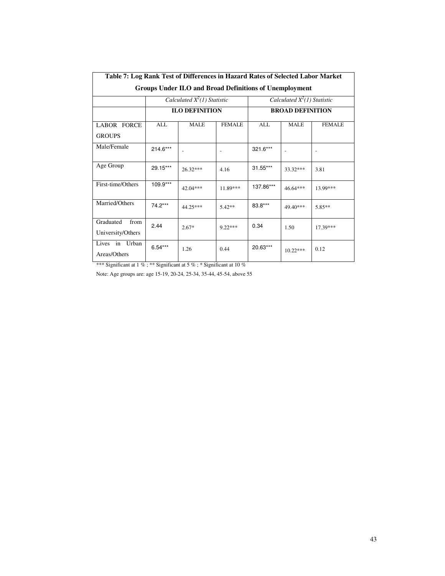| Table 7: Log Rank Test of Differences in Hazard Rates of Selected Labor Market |            |                               |               |            |                               |               |  |
|--------------------------------------------------------------------------------|------------|-------------------------------|---------------|------------|-------------------------------|---------------|--|
| <b>Groups Under ILO and Broad Definitions of Unemployment</b>                  |            |                               |               |            |                               |               |  |
|                                                                                |            | Calculated $X^2(1)$ Statistic |               |            | Calculated $X^2(1)$ Statistic |               |  |
|                                                                                |            | <b>ILO DEFINITION</b>         |               |            | <b>BROAD DEFINITION</b>       |               |  |
| <b>LABOR FORCE</b>                                                             | <b>ALL</b> | <b>MALE</b>                   | <b>FEMALE</b> | <b>ALL</b> | <b>MALE</b>                   | <b>FEMALE</b> |  |
| <b>GROUPS</b>                                                                  |            |                               |               |            |                               |               |  |
| Male/Female                                                                    | $214.6***$ |                               |               | 321.6***   |                               |               |  |
| Age Group                                                                      | 29.15***   | 26.32***                      | 4.16          | 31.55***   | 33.32 ***                     | 3.81          |  |
| First-time/Others                                                              | 109.9***   | 42.04***                      | 11.89***      | 137.86***  | 46.64***                      | 13.99***      |  |
| Married/Others                                                                 | 74.2***    | 44.25***                      | $5.42**$      | 83.8***    | 49.40***                      | $5.85**$      |  |
| Graduated<br>from<br>University/Others                                         | 2.44       | $2.67*$                       | $922***$      | 0.34       | 1.50                          | 17.39***      |  |
| Lives in<br>Urban<br>Areas/Others                                              | $6.54***$  | 1.26                          | 0.44          | 20.63***   | $10.22***$                    | 0.12          |  |

\*\*\* Significant at 1 % ; \*\* Significant at 5 % ; \* Significant at 10 %

Note: Age groups are: age 15-19, 20-24, 25-34, 35-44, 45-54, above 55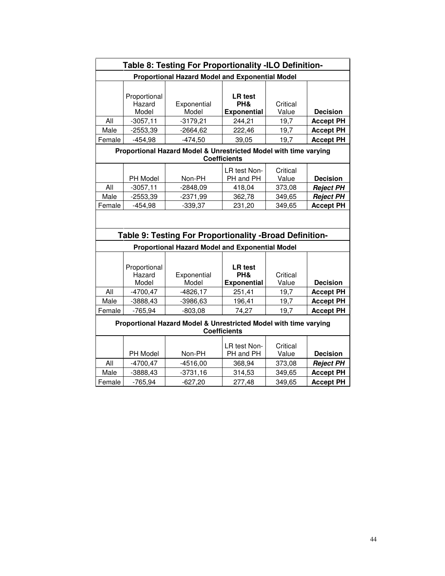|                                                                                         |                                                   | Table 8: Testing For Proportionality -ILO Definition-            |                                                         |                                                 |                                                                             |  |  |  |  |
|-----------------------------------------------------------------------------------------|---------------------------------------------------|------------------------------------------------------------------|---------------------------------------------------------|-------------------------------------------------|-----------------------------------------------------------------------------|--|--|--|--|
|                                                                                         | Proportional Hazard Model and Exponential Model   |                                                                  |                                                         |                                                 |                                                                             |  |  |  |  |
| All                                                                                     | Proportional<br>Hazard<br>Model<br>$-3057,11$     | Exponential<br>Model<br>$-3179,21$                               | <b>LR</b> test<br>PH&<br><b>Exponential</b><br>244,21   | Critical<br>Value<br>19,7                       | <b>Decision</b><br><b>Accept PH</b>                                         |  |  |  |  |
| Male                                                                                    | $-2553,39$                                        | $-2664,62$                                                       | 222,46                                                  | 19,7                                            | <b>Accept PH</b>                                                            |  |  |  |  |
| Female                                                                                  | $-454,98$                                         | $-474,50$                                                        | 39,05                                                   | 19,7                                            | <b>Accept PH</b>                                                            |  |  |  |  |
|                                                                                         |                                                   | Proportional Hazard Model & Unrestricted Model with time varying | <b>Coefficients</b>                                     |                                                 |                                                                             |  |  |  |  |
| All<br>Male<br>Female                                                                   | PH Model<br>$-3057,11$<br>$-2553,39$<br>$-454,98$ | Non-PH<br>$-2848,09$<br>$-2371,99$<br>$-339,37$                  | LR test Non-<br>PH and PH<br>418,04<br>362,78<br>231,20 | Critical<br>Value<br>373,08<br>349,65<br>349,65 | <b>Decision</b><br><b>Reject PH</b><br><b>Reject PH</b><br><b>Accept PH</b> |  |  |  |  |
| Table 9: Testing For Proportionality - Broad Definition-                                |                                                   |                                                                  |                                                         |                                                 |                                                                             |  |  |  |  |
|                                                                                         |                                                   | <b>Proportional Hazard Model and Exponential Model</b>           |                                                         |                                                 |                                                                             |  |  |  |  |
|                                                                                         | Proportional<br>Hazard<br>Model                   | Exponential<br>Model                                             | <b>LR</b> test<br>PH&<br><b>Exponential</b>             | Critical<br>Value                               | <b>Decision</b>                                                             |  |  |  |  |
| All                                                                                     | $-4700, 47$                                       | $-4826, 17$                                                      | 251,41                                                  | 19,7                                            | <b>Accept PH</b>                                                            |  |  |  |  |
| Male                                                                                    | $-3888,43$                                        | $-3986,63$                                                       | 196,41                                                  | 19,7                                            | <b>Accept PH</b>                                                            |  |  |  |  |
| Female                                                                                  | $-765,94$                                         | $-803,08$                                                        | 74,27                                                   | 19,7                                            | <b>Accept PH</b>                                                            |  |  |  |  |
| Proportional Hazard Model & Unrestricted Model with time varying<br><b>Coefficients</b> |                                                   |                                                                  |                                                         |                                                 |                                                                             |  |  |  |  |
| All                                                                                     | PH Model<br>$-4700, 47$                           | Non-PH<br>$-4516,00$                                             | LR test Non-<br>PH and PH<br>368,94                     | Critical<br>Value<br>373,08                     | <b>Decision</b><br><b>Reject PH</b>                                         |  |  |  |  |
| Male                                                                                    | $-3888,43$                                        | $-3731,16$                                                       | 314,53                                                  | 349,65                                          | <b>Accept PH</b>                                                            |  |  |  |  |
| Female                                                                                  | $-765.94$                                         | $-627,20$                                                        | 277,48                                                  | 349,65                                          | <b>Accept PH</b>                                                            |  |  |  |  |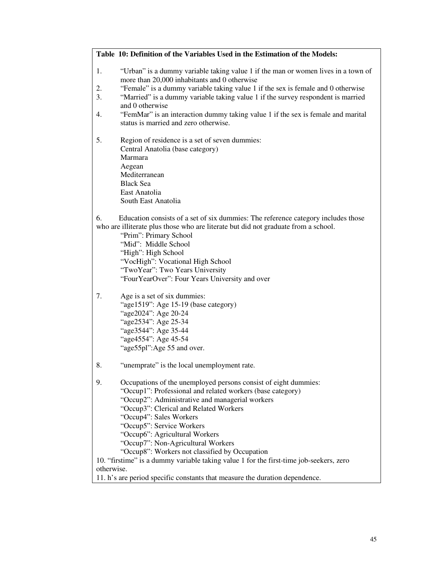|                      | Table 10: Definition of the Variables Used in the Estimation of the Models:                                                                                                                                                                                                                                                                                                                                                                               |
|----------------------|-----------------------------------------------------------------------------------------------------------------------------------------------------------------------------------------------------------------------------------------------------------------------------------------------------------------------------------------------------------------------------------------------------------------------------------------------------------|
| 1.<br>2.<br>3.<br>4. | "Urban" is a dummy variable taking value 1 if the man or women lives in a town of<br>more than 20,000 inhabitants and 0 otherwise<br>"Female" is a dummy variable taking value 1 if the sex is female and 0 otherwise<br>"Married" is a dummy variable taking value 1 if the survey respondent is married<br>and 0 otherwise<br>"FemMar" is an interaction dummy taking value 1 if the sex is female and marital<br>status is married and zero otherwise. |
| 5.                   | Region of residence is a set of seven dummies:<br>Central Anatolia (base category)<br>Marmara<br>Aegean<br>Mediterranean<br><b>Black Sea</b><br>East Anatolia<br>South East Anatolia                                                                                                                                                                                                                                                                      |
| 6.                   | Education consists of a set of six dummies: The reference category includes those<br>who are illiterate plus those who are literate but did not graduate from a school.<br>"Prim": Primary School<br>"Mid": Middle School<br>"High": High School<br>"VocHigh": Vocational High School<br>"TwoYear": Two Years University<br>"Four YearOver": Four Years University and over                                                                               |
| 7.                   | Age is a set of six dummies:<br>"age1519": Age 15-19 (base category)<br>"age2024": Age 20-24<br>"age2534": Age 25-34<br>"age3544": Age 35-44<br>"age4554": Age 45-54<br>"age55pl":Age 55 and over.                                                                                                                                                                                                                                                        |
| 8.                   | "unemprate" is the local unemployment rate.                                                                                                                                                                                                                                                                                                                                                                                                               |
| 9.                   | Occupations of the unemployed persons consist of eight dummies:<br>"Occup1": Professional and related workers (base category)<br>"Occup2": Administrative and managerial workers<br>"Occup3": Clerical and Related Workers<br>"Occup4": Sales Workers<br>"Occup5": Service Workers<br>"Occup6": Agricultural Workers<br>"Occup7": Non-Agricultural Workers<br>"Occup8": Workers not classified by Occupation                                              |
| otherwise.           | 10. "firstime" is a dummy variable taking value 1 for the first-time job-seekers, zero                                                                                                                                                                                                                                                                                                                                                                    |
|                      | 11. h's are period specific constants that measure the duration dependence.                                                                                                                                                                                                                                                                                                                                                                               |
|                      |                                                                                                                                                                                                                                                                                                                                                                                                                                                           |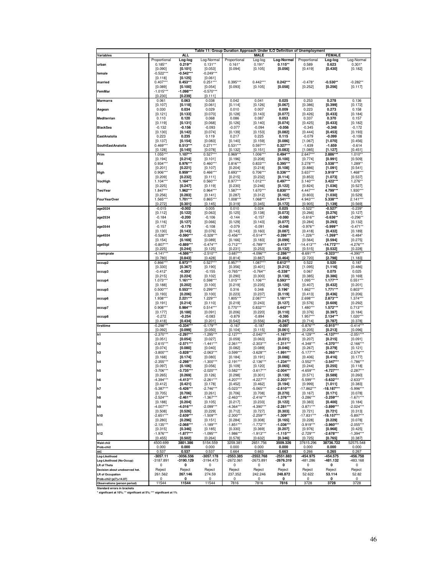|                                                      |                        |                        | Table 11: Group Duration Approach Under ILO Definition of Unemployment |                        |                        |                          |                         |                          |                        |
|------------------------------------------------------|------------------------|------------------------|------------------------------------------------------------------------|------------------------|------------------------|--------------------------|-------------------------|--------------------------|------------------------|
| Variables                                            | Proportional           | <b>ALL</b><br>Log-log  | Log-Normal                                                             | Proportional           | <b>MALE</b><br>Log-log | Log-Normal               | Proportional            | <b>FEMALE</b><br>Log-log | Log-Normal             |
| urban                                                | $0.185**$              | $0.219**$              | $0.131**$                                                              | $0.161*$               | $0.191*$               | $0.115**$                | 0.589                   | 0.623                    | $0.301*$               |
|                                                      | [0.090]                | [0.101]                | [0.053]                                                                | [0.094]                | [0.105]                | [0.056]                  | [0.419]                 | $\left[0.430\right]$     | [0.182]                |
| female                                               | $-0.522***$            | -0.542***              | $-0.249***$                                                            |                        |                        |                          |                         |                          |                        |
| married                                              | [0.118]<br>$0.407**$   | [0.125]<br>0.453***    | [0.061]<br>$0.251***$                                                  | 0.395***               | $0.442***$             | $0.242***$               | $-0.478*$               | -0.530**                 | $-0.282**$             |
|                                                      | [0.089]                | [0.100]                | [0.054]                                                                | [0.093]                | [0.105]                | $[0.058]$                | [0.252]                 | $[0.256]$                | [0.117]                |
| FemMar                                               | $-1.015**$             | $-1.098**$             | $-0.570***$                                                            |                        |                        |                          |                         |                          |                        |
| Marmarra                                             | [0.230]<br>0.061       | [0.239]<br>0.063       | [0.111]<br>0.038                                                       | 0.042                  | 0.041                  | 0.025                    | 0.253                   | 0.278                    | 0.136                  |
|                                                      | [0.107]                | [0.118]                | [0.061]                                                                | [0.114]                | [0.126]                | [0.067]                  | [0.386]                 | [0.399]                  | [0.172]                |
| Aegean                                               | 0.030                  | 0.034                  | 0.029                                                                  | 0.010                  | 0.007                  | 0.009                    | 0.223                   | 0.273                    | 0.158                  |
| Mediterrian                                          | [0.121]                | [0.133]                | [0.070]                                                                | [0.128]                | [0.143]                | [0.077]                  | [0.426]                 | [0.433]                  | [0.184]                |
|                                                      | 0.110<br>[0.119]       | 0.120<br>[0.131]       | 0.068<br>[0.068]                                                       | 0.086<br>[0.126]       | 0.087<br>[0.140]       | 0.053<br>[0.074]         | 0.337<br>[0.425]        | 0.370<br>[0.433]         | 0.157<br>[0.182]       |
| <b>BlackSea</b>                                      | $-0.132$               | -0.156                 | $-0.093$                                                               | $-0.077$               | $-0.094$               | -0.056                   | $-0.345$                | $-0.348$                 | $-0.172$               |
|                                                      | [0.130]                | [0.142]                | [0.074]                                                                | [0.139]                | [0.153]                | $[0.082]$                | [0.444]                 | [0.453]                  | [0.193]                |
| <b>EastAnatolia</b>                                  | 0.223<br>[0.137]       | 0.235<br>[0.154]       | 0.119<br>[0.083]                                                       | 0.217<br>[0.140]       | 0.225<br>[0.159]       | 0.115<br>[0.086]         | $-0.079$<br>[1.067]     | -0.099<br>[1.070]        | -0.108<br>[0.456]      |
| SouthEastAnatolia                                    | $0.469***$             | $0.513***$             | $0.271***$                                                             | $0.531**$              | $0.597***$             | $0.327***$               | $-1.639$                | $-1.659$                 | $-0.614$               |
|                                                      | [0.128]                | [0.145]                | [0.078]                                                                | [0.132]                | [0.151]                | [0.083]                  | [1.085]                 | [1.127]                  | [0.451]                |
| Prim                                                 | 1.055**<br>[0.194]     | 1.107***<br>[0.214]    | $0.527***$<br>[0.101]                                                  | $0.969**$<br>[0.196]   | 1.006**<br>[0.208]     | $0.494***$<br>[0.100]    | $2.647**$<br>[0.774]    | 2.886**<br>[0.991]       | $1.010**$<br>[0.509]   |
| Mid                                                  | $0.934***$             | 0.976***               | $0.460***$                                                             | $0.816***$             | $0.833***$             | 0.395***                 | $3.278***$              | 3.538**                  | 1.289**                |
|                                                      | [0.201]                | [0.221]                | [0.107]                                                                | [0.204]                | [0.218]                | [0.108]                  | [0.886]                 | [1.091]                  | [0.541]                |
| High                                                 | $0.906***$             | $0.959***$             | $0.466***$                                                             | $0.693***$             | $0.706***$             | 0.336***                 | $3.637***$              | 3.919***                 | $1.468***$             |
| VocHigh                                              | [0.209]<br>$1.104***$  | [0.232]<br>$1.164***$  | [0.111]<br>$0.560***$                                                  | [0.215]<br>$0.977***$  | [0.232]<br>$1.012***$  | [0.114]<br>$0.497***$    | [0.853]<br>$3.140***$   | [1.073]<br>$3.422***$    | [0.537]<br>1.276**     |
|                                                      | [0.225]                | [0.247]                | [0.119]                                                                | [0.230]                | [0.246]                | [0.122]                  | [0.824]                 | [1.036]                  | [0.527]                |
| TwoYear                                              | $1.847***$             | 1.962***               | $0.964***$                                                             | $1.587***$             | $1.670***$             | $0.830***$               | 4.447***                | 4.799***                 | 1.930***               |
| <b>FourYearOver</b>                                  | [0.256]<br>1.565**     | [0.283]<br>1.701***    | [0.141]<br>$0.865***$                                                  | [0.287]<br>$1.008***$  | [0.312]<br>1.068***    | [0.162]<br>$0.541***$    | [0.803]<br>4.943**      | [1.030]<br>5.338***      | [0.529]<br>$2.141***$  |
|                                                      | [0.272]                | [0.301]                | [0.145]                                                                | [0.319]                | [0.345]                | [0.172]                  | [0.905]                 | $[1.139]$                | [0.569]                |
| age2024                                              | -0.015                 | -0.002                 | 0.005                                                                  | 0.010                  | 0.024                  | 0.025                    | -0.522*                 | -0.527*                  | $-0.239*$              |
| age2534                                              | [0.112]<br>$-0.184$    | [0.122]<br>-0.200      | [0.063]<br>$-0.106$                                                    | [0.125]<br>$-0.144$    | [0.138]<br>$-0.157$    | [0.073]<br>-0.080        | [0.266]<br>$-0.616*$    | [0.276]<br>-0.636**      | [0.127]<br>$-0.296**$  |
|                                                      | [0.116]                | [0.127]                | [0.066]                                                                | [0.129]                | [0.143]                | [0.077]                  | [0.284]                 | [0.293]                  | [0.132]                |
| age3544                                              | $-0.157$               | $-0.179$               | $-0.108$                                                               | $-0.079$               | $-0.091$               | $-0.048$                 | $-0.976*$               | $-0.999**$               | $-0.471**$             |
|                                                      | [0.130]<br>$-0.528***$ | [0.143]<br>-0.590***   | [0.076]<br>$-0.328***$                                                 | [0.143]<br>$-0.456**$  | [0.160]<br>$-0.514**$  | [0.087]                  | [0.418]<br>$-1.226*$    | [0.432]<br>$-1.269**$    | [0.189]                |
| age4554                                              | [0.154]                | [0.169]                | [0.089]                                                                | [0.166]                | [0.183]                | -0.286**<br>[0.099]      | [0.564]                 | [0.594]                  | $-0.484*$<br>[0.275]   |
| age55pl                                              | $-0.807***$            | -0.889***              | $-0.474***$                                                            | $-0.712***$            | $-0.789***$            | -0.415**                 | -14.413**               | $-14.772***$             | $-4.276***$            |
|                                                      | [0.225]                | [0.244]                | [0.125]                                                                | [0.231]                | [0.253]                | [0.132]                  | [0.515]                 | [0.532]                  | [0.228]                |
| unemprate                                            | $-4.141**$<br>[0.780]  | -4.586**<br>[0.843]    | $-2.510**$<br>[0.428]                                                  | $-3.687**$<br>[0.814]  | $-4.096*$<br>[0.887]   | $-2.286**$<br>[0.464]    | $-8.691**$<br>[2.720]   | $-9.323**$<br>[2.798]    | $-4.390**$<br>[1.183]  |
| occup2                                               | $0.866**$              | $0.973**$              | $0.527***$                                                             | $0.957**$              | $1.087***$             | $0.612***$               | 0.522                   | 0.520                    | 0.187                  |
|                                                      | [0.330]                | [0.367]                | [0.190]                                                                | [0.356]                | [0.401]                | [0.213]                  | [1.095]                 | [1.116]                  | [0.486]                |
| occup3                                               | $-0.412*$<br>[0.215]   | $-0.393*$<br>[0.224]   | $-0.155$<br>[0.102]                                                    | $-0.765***$<br>[0.290] | $-0.764**$<br>[0.300]  | $-0.338**$<br>[0.138]    | 0.067<br>[0.385]        | 0.075<br>[0.386]         | 0.025<br>[0.169]       |
| occup4                                               | $1.073***$             | $1.161***$             | $0.598***$                                                             | $1.015***$             | $1.106***$             | 0.593***                 | $1.095***$              | $1.177***$               | $0.551***$             |
|                                                      | [0.188]                | $[0.202]$              | [0.100]                                                                | [0.219]                | [0.235]                | [0.120]                  | [0.407]                 | [0.432]                  | [0.201]                |
| occup5                                               | $0.500***$<br>[0.193]  | 0.553***<br>[0.206]    | 0.299***<br>[0.100]                                                    | 0.316<br>[0.223]       | 0.348                  | $0.196*$<br>[0.119]      | 1.662**<br>[0.413]      | $1.771***$<br>[0.436]    | $0.803***$<br>[0.206]  |
| occup6                                               | 1.938***               | 2.221***               | 1.229***                                                               | $1.805***$             | [0.237]<br>$2.087***$  | 1.181***                 | 2.698***                | 2.873***                 | 1.374***               |
|                                                      | [0.191]                | [0.214]                | [0.110]                                                                | [0.219]                | [0.243]                | [0.127]                  | [0.576]                 | [0.609]                  | [0.292]                |
| occup7                                               | $0.908***$             | $0.984***$             | $0.514***$                                                             | $0.770**$              | $0.832***$             | $0.443***$               | $1.480***$              | 1.572**                  | $0.713***$             |
| occup8                                               | [0.177]<br>$-0.272$    | [0.188]<br>$-0.254$    | [0.091]<br>$-0.083$                                                    | [0.206]<br>-0.879      | [0.220]<br>$-0.894$    | [0.110]<br>-0.395        | [0.376]<br>$1.957***$   | [0.397]<br>$2.134***$    | [0.184]<br>$1.020***$  |
|                                                      | [0.418]                | [0.434]                | [0.201]                                                                | [0.542]                | [0.556]                | [0.247]                  | [0.714]                 | [0.787]                  | [0.378]                |
| firsttime                                            | $-0.298*$              | -0.334**               | $-0.179**$                                                             | $-0.167$               | $-0.187$               | -0.097                   | $-0.876**$              | -0.915**                 | $-0.414**$             |
| h1                                                   | [0.092]<br>$-2.370**$  | [0.099]<br>$-2.297***$ | [0.050]<br>$-1.295**$                                                  | [0.104]<br>$-2.127**$  | [0.115]<br>$-2.040***$ | [0.061]<br>$-1.167***$   | [0.205]<br>$-4.129**$   | [0.213]<br>$-4.137***$   | [0.096]<br>$-2.051***$ |
|                                                      | [0.051]                | [0.054]                | [0.027]                                                                | [0.059]                | [0.063]                | [0.031]                  | [0.207]                 | [0.215]                  | [0.091]                |
| h <sub>2</sub>                                       | $-2.615***$            | -2.571***              | $-1.441***$                                                            | $-2.361***$            | $-2.303***$            | $-1.311***$              | $-4.348***$             | $-4.370***$              | $-2.166***$            |
| h3                                                   | [0.074]<br>$-3.800***$ | $[0.080]$<br>-3.828*** | [0.040]                                                                | [0.082]<br>$-3.599***$ | [0.089]<br>$-3.628***$ | [0.046]                  | [0.267]                 | [0.279]                  | [0.121]<br>$-2.574***$ |
|                                                      | [0.168]                | [0.174]                | $-2.063***$<br>[0.080]                                                 | [0.184]                | [0.191]                | $-1.991***$<br>[0.088]   | $-5.177***$<br>[0.406]  | -5.265***<br>[0.416]     | [0.177]                |
| h <sub>4</sub>                                       | $-2.355***$            | $-2.298***$            | $-1.300***$                                                            | $-2.191***$            | $-2.136***$            | $-1.234***$              | $-3.552**$              | $-3.547**$               | $-1.786***$            |
|                                                      | [0.097]                | [0.106]                | [0.056]                                                                | [0.109]                | [0.120]                | [0.065]                  | [0.244]                 | [0.255]                  | [0.118]                |
| h <sub>5</sub>                                       | $-3.706***$<br>[0.265] | $-3.735***$<br>[0.269] | $-2.020***$<br>[0.126]                                                 | $-3.582***$<br>[0.298] | $-3.617***$<br>[0.301] | $-2.004***$<br>[0.139]   | $-4.659***$<br>[0.571]  | $-4.727***$<br>[0.589]   | $-2.287***$<br>[0.260] |
| h6                                                   | $-4.394***$            | $-4.413***$            | $-2.261***$                                                            | $-4.207***$            | $-4.227***$            | $-2.203***$              | $-5.599***$             | $-5.632***$              | $-2.633***$            |
|                                                      | [0.412]                | [0.421]                | [0.178]                                                                | [0.452]                | [0.462]                | [0.194]                  | [0.999]                 | [1.011]                  | [0.383]                |
| h7                                                   | $-5.387***$<br>[0.705] | -5.426***<br>[0.706]   | $-2.746***$<br>[0.261]                                                 | $-5.023***$<br>[0.706] | $-5.065***$<br>[0.708] | $-2.610***$<br>[0.270]   | -17.862***<br>[0.167]   | $-18.187***$<br>[0.171]  | $-5.996***$<br>[0.078] |
| h8                                                   | $-2.524***$            | $-2.461***$            | $-1.367***$                                                            | $-2.463***$            | $-2.416***$            | $-1.376***$              | $-3.286***$             | $-3.259***$              | $-1.671***$            |
|                                                      | [0.188]                | [0.204]                | [0.105]                                                                | [0.217]                | [0.233]                | [0.122]                  | [0.383]                 | [0.400]                  | [0.184]                |
| h9                                                   | $-4.007***$<br>[0.508] | $-4.016***$            | $-2.099***$                                                            | $-4.364***$            | $-4.390***$            | $-2.281***$<br>[0.303]   | $-3.871***$             | $-3.899***$              | $-2.024***$            |
| h10                                                  | $-2.651***$            | $[0.526]$<br>-2.639*** | [0.229]<br>$-1.509***$                                                 | [0.712]<br>$-2.300***$ | [0.727]<br>$-2.259***$ | $-1.309***$              | [0.721]<br>$-17.831***$ | [0.721]<br>$-18.157***$  | [0.313]<br>$-5.897***$ |
|                                                      | [0.280]                | [0.296]                | [0.151]                                                                | [0.284]                | [0.308]                | [0.165]                  | [0.228]                 | [0.229]                  | [0.078]                |
| h11                                                  | $-2.135***$            | -2.068***              | $-1.189***$                                                            | $-1.851***$            | $-1.772***$            | $-1.036***$              | $-3.919***$<br>[0.976]  | $-3.960***$              | $-2.055***$            |
| h12                                                  | [0.315]<br>$-1.976***$ | [0.346]<br>$-1.877***$ | [0.185]<br>$-1.095***$                                                 | [0.330]<br>$-1.986***$ | [0.369]<br>$-1.913***$ | $[0.207]$<br>$-1.115***$ | $-2.729***$             | [0.968]<br>$-2.678***$   | [0.425]<br>$-1.394***$ |
|                                                      | [0.455]                | [0.502]                | [0.264]                                                                | [0.578]                | [0.632]                | [0.346]                  | [0.725]                 | [0.765]                  | [0.387]                |
| Wald chi2                                            | 4500.699               | 3801.386               | 5154.559                                                               | 3259.381               | 2651.756               | 3509.326                 | 37615.296               | 38736.722                | 52575.548              |
| Prob>chi2<br><b>AIC</b>                              | 0.000<br>0.537         | 0.000<br>0.537         | 0.000<br>0.537                                                         | 0.000<br>0.664         | 0.000<br>0.663         | 0.000<br>0.663           | 0.000<br>0.266          | 0.000<br>0.265           | 0.000<br>0.267         |
| Log-Likelihood                                       | -3057.11               | $-3056.556$            | $-3057.178$                                                            | -2553.385              | -2552.768              | -2551.883                | -454.975                | -454.575                 | -456.758               |
| Log-Likelihood (No-Occup)                            | -3187.891              | -3190.129              | -3194.473                                                              | -2672.061              | -2673.891              | -2676.319                | -481.286                | -481.132                 | -483.168               |
| <b>LR of Theta</b><br>Decision about unobserved het. | 0<br>Reject            | 0<br>Reject            | 0<br>Reject                                                            | 0<br>Reject            | 0<br>Reject            | 0<br>Reject              | 0<br>Reject             | 0<br>Reject              | 0<br>Reject            |
| <b>LR</b> of Occupation                              | 261.562                | 267.146                | 274.59                                                                 | 237.352                | 242.246                | 248.872                  | 52.622                  | 53.114                   | 52.82                  |
| Prob>chi2 (p(7)=14.07)                               | 0                      | 0                      | 0                                                                      | 0                      | 0                      | 0                        | $\Omega$                | 0                        | 0                      |
| <b>Observations (person period)</b>                  | 11544                  | 11544                  | 11544                                                                  | 7816                   | 7816                   | 7816                     | 3728                    | 3728                     | 3728                   |

**Standard errors in brackets \* significant at 10%; \*\* significant at 5%; \*\*\* significant at 1%**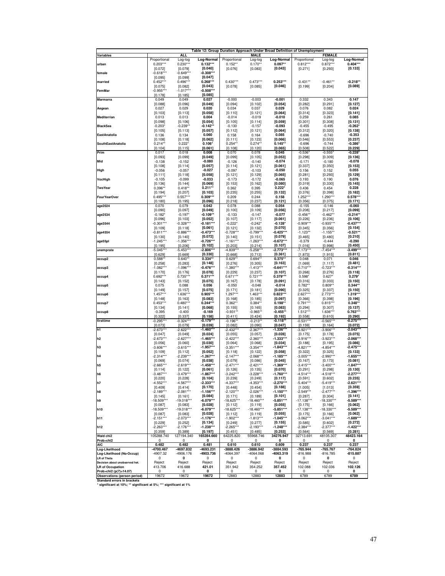|                                                                   |                          |                         | Table 12: Group Duration Approach Under Broad Definition of Unemployment |                           |                          |                        |                            |                        |                        |
|-------------------------------------------------------------------|--------------------------|-------------------------|--------------------------------------------------------------------------|---------------------------|--------------------------|------------------------|----------------------------|------------------------|------------------------|
| Variables                                                         | Proportional             | <b>ALL</b>              | Log-Normal                                                               |                           | <b>MALE</b>              | Log-Normal             |                            | <b>FEMALE</b>          | Log-Normal             |
| urban                                                             | $0.203***$               | Log-log<br>$0.230***$   | $0.132***$                                                               | Proportional<br>$0.152**$ | Log-log<br>$0.170**$     | $0.097**$              | Proportional<br>$0.812***$ | Log-log<br>$0.872***$  | $0.404***$             |
|                                                                   | $[0.072]$                | [0.079]                 | [0.040]                                                                  | [0.076]                   | [0.083]                  | [0.043]                | [0.271]                    | [0.293]                | [0.133]                |
| female                                                            | $-0.618***$              | $-0.649***$             | $-0.308***$                                                              |                           |                          |                        |                            |                        |                        |
| married                                                           | [0.095]<br>$0.452***$    | [0.099]<br>$0.496***$   | [0.047]<br>$0.268***$                                                    | $0.430***$                | $0.473***$               | $0.253***$             | $-0.431**$                 | $-0.461**$             | -0.218**               |
|                                                                   | [0.075]                  | [0.082]                 | [0.043]                                                                  | [0.078]                   | [0.085]                  | [0.046]                | [0.199]                    | [0.204]                | [0.089]                |
| FemMar                                                            | $-0.955**$               | $-1.017**$              | $-0.508***$                                                              |                           |                          |                        |                            |                        |                        |
|                                                                   | [0.178]                  | [0.185]                 | [0.085]                                                                  |                           |                          |                        |                            |                        |                        |
| <b>Marmarra</b>                                                   | 0.049<br>[0.088]         | 0.049<br>[0.096]        | 0.027<br>[0.049]                                                         | $-0.000$<br>[0.094]       | $-0.003$<br>[0.102]      | -0.001<br>[0.054]      | 0.332<br>[0.282]           | 0.343<br>[0.291]       | 0.147<br>[0.127]       |
| Aegean                                                            | 0.027                    | 0.029                   | 0.020                                                                    | 0.034                     | 0.037                    | 0.029                  | 0.076                      | 0.082                  | 0.024                  |
|                                                                   | [0.103]                  | [0.113]                 | [0.058]                                                                  | [0.110]                   | [0.121]                  | [0.064]                | [0.314]                    | [0.323]                | [0.141]                |
| Mediterrian                                                       | 0.013                    | 0.013                   | 0.004                                                                    | $-0.014$                  | $-0.019$                 | $-0.010$               | 0.259                      | 0.261                  | 0.085                  |
| <b>BlackSea</b>                                                   | [0.098]<br>$-0.203"$     | [0.106]<br>$-0.239**$   | [0.054]<br>$-0.142**$                                                    | [0.105]<br>$-0.130$       | [0.114]<br>$-0.157$      | [0.059]<br>-0.093      | [0.301]<br>$-0.455$        | [0.308]<br>$-0.495$    | [0.131]<br>$-0.262*$   |
|                                                                   | [0.105]                  | [0.113]                 | [0.057]                                                                  | [0.112]                   | [0.121]                  | [0.064]                | [0.312]                    | [0.320]                | [0.138]                |
| <b>EastAnatolia</b>                                               | 0.136                    | 0.134                   | 0.060                                                                    | 0.158                     | 0.164                    | 0.085                  | -0.696                     | $-0.740$               | -0.353                 |
|                                                                   | [0.108]                  | [0.118]                 | [0.062]                                                                  | [0.111]                   | [0.123]                  | [0.066]                | [0.546]                    | [0.553]                | [0.237]                |
| SouthEastAnatolia                                                 | $0.214**$<br>[0.104]     | 0.222'<br>[0.115]       | $0.106*$<br>[0.061]                                                      | $0.254**$<br>[0.108]      | $0.274**$<br>[0.120]     | $0.145**$<br>[0.065]   | $-0.696$<br>[0.508]        | $-0.744$<br>[0.522]    | $-0.386'$<br>[0.229]   |
| Prim                                                              | 0.017                    | 0.018                   | 0.008                                                                    | 0.070                     | 0.078                    | 0.045                  | -0.536'                    | $-0.555$               | -0.228*                |
|                                                                   | [0.093]                  | [0.099]                 | [0.049]                                                                  | [0.099]                   | [0.105]                  | [0.053]                | [0.298]                    | [0.309]                | [0.136]                |
| Mid                                                               | $-0.138$                 | $-0.152$                | $-0.080$                                                                 | $-0.126$                  | $-0.140$                 | $-0.074$               | $-0.171$                   | $-0.180$               | -0.078                 |
| High                                                              | [0.108]<br>$-0.056$      | [0.114]<br>$-0.057$     | [0.057]<br>$-0.027$                                                      | [0.114]<br>$-0.097$       | [0.121]<br>$-0.103$      | [0.061]<br>-0.050      | [0.337]<br>0.156           | [0.350]<br>0.152       | [0.153]<br>0.055       |
|                                                                   | [0.111]                  | [0.118]                 | [0.058]                                                                  | [0.121]                   | [0.129]                  | [0.065]                | [0.281]                    | [0.293]                | [0.129]                |
| VocHigh                                                           | $-0.105$                 | $-0.099$                | -0.033                                                                   | $-0.173$                  | $-0.172$                 | $-0.065$               | 0.193                      | 0.190                  | 0.076                  |
|                                                                   | [0.136]                  | [0.144]                 | [0.069]                                                                  | [0.153]                   | [0.162]                  | [0.080]                | [0.319]                    | [0.330]                | [0.145]                |
| <b>TwoYear</b>                                                    | 0.396**                  | $0.418**$               | $0.211**$<br>[0.103]                                                     | 0.362                     | 0.395                    | $0.222*$<br>[0.132]    | 0.436                      | 0.454                  | 0.228<br>[0.182]       |
| <b>Four YearOver</b>                                              | [0.194]<br>$0.495***$    | [0.207]<br>$0.557***$   | $0.309***$                                                               | [0.235]<br>0.209          | [0.255]<br>0.244         | 0.158                  | [0.376]<br>$1.252***$      | [0.398]<br>1.290***    | $0.578***$             |
|                                                                   | [0.180]                  | [0.195]                 | [0.096]                                                                  | [0.218]                   | [0.237]                  | [0.121]                | [0.356]                    | [0.375]                | [0.171]                |
| age2024                                                           | 0.070                    | 0.079                   | 0.042                                                                    | 0.078                     | 0.088                    | 0.054                  | $-0.155$                   | $-0.146$               | -0.060                 |
| age2534                                                           | [0.090]<br>$-0.182"$     | [0.097]<br>$-0.197'$    | [0.049]<br>$-0.109**$                                                    | [0.100]<br>-0.133         | [0.109]<br>$-0.147$      | [0.056]<br>$-0.077$    | [0.208]<br>$-0.456*$       | [0.217]<br>$-0.462*$   | [0.099]<br>-0.214**    |
|                                                                   | [0.096]                  | [0.103]                 | [0.052]                                                                  | [0.107]                   | [0.117]                  | [0.061]                | [0.226]                    | [0.236]                | [0.106]                |
| age3544                                                           | $-0.301***$              | $-0.328***$             | $-0.181***$                                                              | $-0.222"$                 | $-0.242$                 | -0.128*                | $-0.909***$                | $-0.935***$            | $-0.437***$            |
|                                                                   | [0.109]                  | [0.118]                 | [0.061]<br>$-0.473***$                                                   | [0.121]                   | [0.132]                  | [0.070]<br>$-0.425***$ | [0.345]                    | [0.356]                | [0.154]                |
| age4554                                                           | $-0.811***$<br>[0.130]   | $-0.886***$<br>[0.140]  | [0.072]                                                                  | $-0.728***$<br>[0.140]    | $-0.799***$<br>[0.151]   | [0.079]                | $-1.123"$<br>[0.465]       | $-1.155*$<br>[0.480]   | -0.521**<br>[0.210]    |
| age55pl                                                           | $-1.245***$              | $-1.356***$             | -0.726***                                                                | $-1.161***$               | $-1.263***$              | $-0.672***$            | $-0.379$                   | $-0.444$               | -0.290                 |
|                                                                   | [0.195]                  | [0.206]                 | [0.102]                                                                  | [0.203]                   | [0.214]                  | [0.107]                | [1.016]                    | [0.998]                | [0.450]                |
| unemprate                                                         | $-5.045**$<br>[0.629]    | $-5.453**$<br>[0.669]   | -2.806**<br>[0.330]                                                      | 4.839**<br>[0.668]        | $-5.258***$<br>[0.713]   | -2.773**<br>[0.361]    | $-7.173**$<br>[1.873]      | $-7.454**$<br>[1.915]  | $-3.499**$             |
| occup2                                                            | $0.588**$                | $0.640*$                | $0.334**$                                                                | $0.629**$                 | $0.694**$                | $0.375**$              | 0.048                      | 0.071                  | [0.811]<br>0.046       |
|                                                                   | [0.258]                  | [0.283]                 | [0.148]                                                                  | [0.276]                   | [0.305]                  | [0.163]                | [1.069]                    | [1.117]                | [0.481]                |
| occup3                                                            | $-1.082***$              | $-1.096***$             | $-0.476***$                                                              | $-1.380***$               | $-1.413***$              | $-0.641***$            | $-0.710***$                | $-0.723***$            | $-0.314***$            |
| occup4                                                            | [0.170]<br>$0.692***$    | [0.176]<br>$0.735**$    | [0.078]<br>$0.371***$                                                    | [0.229]<br>$0.671***$     | [0.237]<br>$0.721***$    | [0.107]<br>$0.379***$  | [0.268]<br>$0.598*$        | [0.276]<br>0.627       | [0.118]<br>$0.279*$    |
|                                                                   | [0.143]                  | [0.152]                 | [0.075]                                                                  | [0.167]                   | [0.178]                  | [0.091]                | [0.316]                    | [0.333]                | [0.150]                |
| occup5                                                            | 0.075                    | 0.088                   | 0.056                                                                    | $-0.050$                  | $-0.048$                 | $-0.014$               | $0.782**$                  | $0.809**$              | $0.344**$              |
|                                                                   | [0.149]                  | [0.157]                 | [0.075]                                                                  | [0.171]                   | [0.181]                  | [0.090]                | [0.325]                    | [0.337]                | [0.150]                |
| occup6                                                            | $1.457***$<br>[0.148]    | 1.636***<br>[0.163]     | 0.905***<br>[0.083]                                                      | $1.297***$<br>[0.168]     | 1.463***<br>[0.185]      | $0.823***$<br>[0.097]  | $2.627***$<br>[0.366]      | $2.773**$<br>[0.398]   | $1.319***$<br>[0.196]  |
| occup7                                                            | $0.453***$               | $0.480**$               | $0.244***$                                                               | $0.362**$                 | $0.384**$                | $0.198**$              | $0.791***$                 | $0.815***$             | $0.348**$              |
|                                                                   | [0.134]                  | [0.141]                 | [0.068]                                                                  | [0.155]                   | [0.165]                  | [0.083]                | [0.294]                    | [0.307]                | [0.137]                |
| occup8                                                            | $-0.395$                 | $-0.400$                | -0.169                                                                   | $-0.931**$                | $-0.965*$                | $-0.455**$             | $1.512***$                 | 1.636**                | $0.763***$             |
| firsttime                                                         | [0.322]<br>$-0.295*$     | [0.337]<br>$-0.324**$   | [0.158]<br>-0.179**                                                      | [0.411]<br>$-0.196*$      | [0.424]<br>$-0.213"$     | [0.192]<br>$-0.118*$   | [0.558]<br>$-0.531**$      | [0.610]<br>$-0.565*$   | [0.290]<br>$-0.275**$  |
|                                                                   | [0.073]                  | [0.079]                 | [0.039]                                                                  | [0.082]                   | [0.090]                  | [0.047]                | [0.159]                    | [0.164]                | [0.072]                |
| h1                                                                | $-2.673***$              | $-2.622***$             | $-1.460**$                                                               | $-2.432**$                | $-2.367***$              | $-1.336**$             | $-3.921***$                | $-3.906***$            | $-2.043***$            |
| h2                                                                | [0.047]<br>$-2.673***$   | [0.049]<br>$-2.627***$  | [0.024]<br>$-1.465***$                                                   | [0.055]<br>$-2.422***$    | [0.057]<br>$-2.360***$   | [0.028]<br>$-1.333***$ | [0.175]<br>$-3.916***$     | [0.178]<br>$-3.923***$ | [0.075]<br>$-2.068***$ |
|                                                                   | [0.056]                  | [0.060]                 | [0.030]                                                                  | [0.064]                   | [0.068]                  | [0.034]                | [0.188]                    | [0.195]                | [0.086]                |
| h <sub>3</sub>                                                    | $-3.606***$              | $-3.615***$             | $-1.957***$                                                              | $-3.351***$               | $-3.354***$              | $-1.843***$            | $-4.821***$                | $-4.854***$            | $-2.475***$            |
|                                                                   | [0.109]                  | [0.112]                 | [0.052]                                                                  | [0.118]                   | [0.122]                  | [0.058]                | [0.322]                    | [0.325]                | [0.133]                |
| h4                                                                | $-2.314***$<br>[0.069]   | $-2.239***$<br>[0.074]  | $-1.267***$<br>[0.038]                                                   | $-2.147***$<br>[0.079]    | $-2.068***$<br>[0.086]   | $-1.185***$<br>[0.045] | $-3.005***$<br>[0.167]     | $-2.990***$<br>[0.173] | $-1.655***$<br>[0.081] |
| h5                                                                | $-2.665***$              | $-2.619***$             | $-1.458***$                                                              | $-2.471***$               | $-2.421***$              | $-1.369***$            | $-3.415***$                | $-3.400***$            | $-1.847***$            |
|                                                                   | [0.114]                  | [0.122]                 | [0.061]                                                                  | [0.126]                   | [0.135]                  | [0.070]                | [0.291]                    | [0.298]                | [0.130]                |
| 16                                                                | 3.487                    | 3.479'                  | 1.867                                                                    | 3.242                     | 3.228                    | 1.760<br>[0.117]       | 4.514                      | 4.518°<br>[0.602]      | 2.277<br>[0.235]       |
| h7                                                                | $[0.220]$<br>$-4.552***$ | [0.228]<br>$-4.567***$  | [0.104]<br>$-2.333***$                                                   | [0.239]<br>$-4.337***$    | $[0.249]$<br>$-4.353***$ | $-2.270***$            | [0.591]<br>$-5.404***$     | $-5.419***$            | $-2.621***$            |
|                                                                   | [0.409]                  | [0.414]                 | [0.170]                                                                  | [0.448]                   | [0.454]                  | [0.188]                | [1.005]                    | [1.013]                | [0.359]                |
| h8                                                                | $-2.189***$              | $-2.081***$             | -1.156***                                                                | -2.120***                 | $-2.026***$              | $-1.150***$            | $-2.549***$                | $-2.477***$            | $-1.396***$            |
| h9                                                                | [0.145]<br>$-18.509***$  | [0.161]<br>$-19.018***$ | [0.084]<br>-6.079***                                                     | [0.171]<br>$-18.625***$   | [0.189]<br>$-18.460***$  | [0.101]<br>-5.851***   | [0.287]<br>$-17.138***$    | [0.304]<br>-18.330***  | [0.141]<br>-5.589***   |
|                                                                   | [0.087]                  | [0.083]                 | [0.028]                                                                  | [0.112]                   | [0.119]                  | $[0.055]$              | [0.175]                    | [0.166]                | [0.062]                |
| h10                                                               | $-18.509***$             | $-19.018***$            | -6.079***                                                                | $-18.625***$              | $-18.460***$             | $-5.851***$            | $-17.138***$               | -18.330***             | -5.589***              |
| h11                                                               | [0.087]                  | [0.083]                 | [0.028]<br>$-1.176***$                                                   | [0.112]                   | [0.119]                  | [0.055]<br>$-1.045***$ | [0.175]                    | [0.166]<br>$-3.041***$ | [0.062]<br>$-1.689***$ |
|                                                                   | $-2.151***$<br>[0.229]   | $-2.073***$<br>[0.252]  | [0.134]                                                                  | $-1.902***$<br>[0.249]    | $-1.813***$<br>[0.277]   | [0.155]                | $-3.062***$<br>[0.585]     | [0.602]                | [0.272]                |
| h12                                                               | $-2.263***$              | $-2.176***$             | $-1.238***$                                                              | $-2.265***$               | $-2.193***$              | $-1.248***$            | $-2.384***$                | $-2.377***$            | $-1.422***$            |
|                                                                   | [0.359]                  | [0.389]                 | [0.197]                                                                  | [0.451]                   | [0.485]                  | [0.253]                | [0.564]                    | [0.569]                | [0.281]                |
| Wald chi2<br>Prob>chi2                                            | 105288.740<br>0          | 127194.340<br>0         | 165284.660<br>0                                                          | 64225.820<br>0            | 55968.746<br>0           | 34276.947<br>0         | 32713.691<br>0             | 48105.307<br>0         | 48423.164<br>0         |
| <b>AIC</b>                                                        | 0.482                    | 0.482                   | 0.481                                                                    | 0.610                     | 0.610                    | 0.609                  | 0.237                      | 0.237                  | 0.237                  |
| Log-Likelihood                                                    | -4700.467                | -4697.832               | -4693.231                                                                | 3888.426                  | -3886.942                | -3884.593              | -765.944                   | -765.767               | -764.824               |
| Log-Likelihood (No-Occup)                                         | -4907.32                 | -4906.176<br>0          | -4903.736<br>0                                                           | -4064.397                 | $-4064.068$<br>0         | -4063.319              | -816.988                   | $-816.785$             | $-815.887$             |
| <b>LR of Theta</b><br>Decision about unobserved het.              | 0<br>Reject              | Reject                  | Reject                                                                   | 0<br>Reject               | Reject                   | 0<br>Reject            | 0<br>Reject                | 0<br>Reject            | 0<br>Reject            |
| <b>LR</b> of Occupation                                           | 413.706                  | 416.688                 | 421.01                                                                   | 351.942                   | 354.252                  | 357.452                | 102.088                    | 102.036                | 102.126                |
| Prob>chi2 (p(7)=14.07)                                            | 0                        | 0                       | 0                                                                        | 0                         | 0                        | 0                      | 0                          | 0                      | 0                      |
| Observations (person period)<br>Standard errors in brackets       | 19672                    | 19672                   | 19672                                                                    | 12883                     | 12883                    | 12883                  | 6789                       | 6789                   | 6789                   |
| * significant at 10%; ** significant at 5%; *** significant at 1% |                          |                         |                                                                          |                           |                          |                        |                            |                        |                        |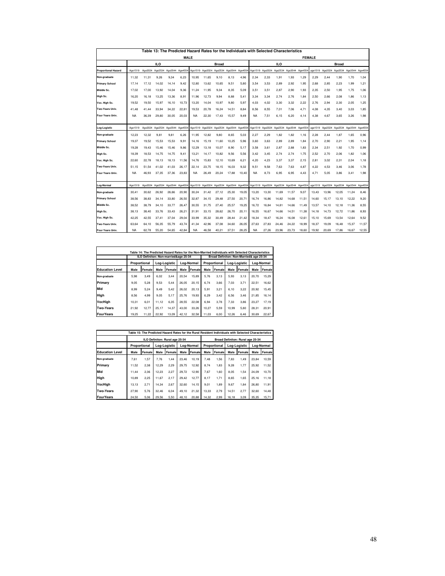|                            | Table 13: The Predicted Hazard Rates for the Individuals with Selected Characteristics |         |         |                         |        |           |                 |                                         |                |               |           |         |                                         |         |         |         |         |                                 |         |         |
|----------------------------|----------------------------------------------------------------------------------------|---------|---------|-------------------------|--------|-----------|-----------------|-----------------------------------------|----------------|---------------|-----------|---------|-----------------------------------------|---------|---------|---------|---------|---------------------------------|---------|---------|
|                            | <b>MALE</b>                                                                            |         |         |                         |        |           |                 |                                         |                | <b>FEMALE</b> |           |         |                                         |         |         |         |         |                                 |         |         |
|                            |                                                                                        |         | ILO     |                         |        |           | <b>Broad</b>    |                                         |                |               | ILO.      |         |                                         |         |         | Broad   |         |                                 |         |         |
| <b>Proportional Hazard</b> | Age1519                                                                                | Age2024 | Age2534 | Age3544                 | Age455 |           | Age1519 Age2024 | Age2534                                 | Age3544 Age455 |               | Age1519   | Age2024 | Age2534                                 | Age3544 | Age4554 | age1519 | Age2024 | Age2534                         | Age3544 | Age4554 |
| Non-graduate               | 11.32                                                                                  | 11.31   | 9.26    | 9.34                    | 6.23   | 10.95     | 11.65           | 9.10                                    | 8.13           | 4.96          | 2,34      | 2.33    | 1,91                                    | 1,93    | 1.29    | 2.29    | 2.44    | 1,90                            | 1,70    | 1,04    |
| <b>Primary School</b>      | 17.14                                                                                  | 17.12   | 14.02   | 14.14                   | 9.42   | 12.80     | 13.62           | 10.65                                   | 9,51           | 5.80          | 3.54      | 3.53    | 2.89                                    | 2.92    | 1,95    | 2.68    | 2.85    | 2.23                            | 1,99    | 1,21    |
| Middle Sc.                 | 17.02                                                                                  | 17.00   | 13.92   | 14.04                   | 9.36   | 11.24     | 11.95           | 9.34                                    | 8.35           | 5.09          | 3.51      | 3.51    | 2.87                                    | 2.90    | 1.93    | 2.35    | 2,50    | 1.95                            | 1.75    | 1.06    |
| High Sc.                   | 16.20                                                                                  | 16.18   | 13.25   | 13.36                   | 8.91   | 11.96     | 12.73           | 9.94                                    | 8.88           | 5.41          | 3.34      | 3.34    | 2.74                                    | 2.76    | 1.84    | 2.50    | 2.66    | 2.08                            | 1.86    | 1,13    |
| Voc. High Sc.              | 19,52                                                                                  | 19,50   | 15,97   | 16,10                   | 10,73  | 13,20     | 14,04           | 10,97                                   | 9,80           | 5,97          | 4,03      | 4.02    | 3,30                                    | 3,32    | 2,22    | 2.76    | 2.94    | 2,30                            | 2,05    | 1,25    |
| Two-Years Univ.            | 41.48                                                                                  | 41.44   | 33.94   | 34,22                   | 22.81  | 19.53     | 20.78           | 16.24                                   | 14.51          | 8.84          | 8.56      | 8.55    | 7.01                                    | 7.06    | 4.71    | 4.08    | 4.35    | 3.40                            | 3.03    | 1,85    |
| Four Years Univ.           | <b>NA</b>                                                                              | 36,39   | 29,80   | 30,05                   | 20.03  | <b>NA</b> | 22,30           | 17.43                                   | 15,57          | 9.49          | <b>NA</b> | 7,51    | 6,15                                    | 6,20    | 4.14    | 4,38    | 4.67    | 3.65                            | 3.26    | 1,98    |
|                            |                                                                                        |         |         |                         |        |           |                 |                                         |                |               |           |         |                                         |         |         |         |         |                                 |         |         |
| Log-Logistic               | Age1519                                                                                | Age2024 | Age2534 | Age3544                 | Age455 | Age1519   | Age2024         | Age2534                                 | Age3544        | Age455        | Age1519   | Age2024 | Age2534                                 | Age3544 | Age4554 | age1519 | Age2024 | Age2534                         | Age3544 | Age4554 |
| Non-graduate               | 12.23                                                                                  | 12.32   | 9.81    | 9.81                    | 6.26   | 11.95     | 12.82           | 9.80                                    | 8.65           | 5.03          | 2.27      | 2.29    | 1.82                                    | 1,82    | 1,16    | 2.28    | 2.44    | 1,87                            | 1,65    | 0.96    |
| <b>Primary School</b>      | 19.37                                                                                  | 19.52   | 15.53   | 15.53                   | 9.91   | 14.16     | 15.19           | 11.60                                   | 10.25          | 5.96          | 3.60      | 3.63    | 2.89                                    | 2.89    | 1.84    | 2.70    | 2.90    | 2.21                            | 1.95    | 1.14    |
| Middle Sc.                 | 19.28                                                                                  | 19.43   | 15.46   | 15.46                   | 9.86   | 12,29     | 13.18           | 10.07                                   | 8.90           | 5.17          | 3,58      | 3.61    | 2,87                                    | 2,88    | 1.83    | 2.34    | 2.51    | 1,92                            | 1,70    | 0.99    |
| High Sc.                   | 18,39                                                                                  | 18,53   | 14.75   | 14,75                   | 9.41   | 13,21     | 14.17           | 10,82                                   | 9,56           | 5,56          | 3,42      | 3,45    | 2,74                                    | 2,74    | 1,75    | 2,52    | 2.70    | 2,06                            | 1,82    | 1,06    |
| Voc. High Sc.              | 22.60                                                                                  | 22.78   | 18.13   | 18.13                   | 11.56  | 14.76     | 15.83           | 12.10                                   | 10.69          | 6.21          | 4.20      | 4.23    | 3,37                                    | 3.37    | 2.15    | 2.81    | 3.02    | 2.31                            | 2.04    | 1,18    |
| Two-Years Univ.            | 51.15                                                                                  | 51.54   | 41.02   | 41.03                   | 26.17  | 22.14     | 23.75           | 18.15                                   | 16.03          | 9.32          | 9.51      | 9.58    | 7.63                                    | 7.63    | 4.87    | 4.22    | 4.53    | 3.46                            | 3.06    | 1,78    |
| Four Years Univ.           | <b>NA</b>                                                                              | 46,93   | 37,35   | 37,36                   | 23.83  | <b>NA</b> | 26.49           | 20,24                                   | 17,88          | 10.40         | <b>NA</b> | 8.73    | 6,95                                    | 6,95    | 4,43    | 4,71    | 5.05    | 3,86                            | 3,41    | 1,98    |
|                            |                                                                                        |         |         |                         |        |           |                 |                                         |                |               |           |         |                                         |         |         |         |         |                                 |         |         |
| Log-Normal                 | Age1519                                                                                | Age2024 |         | Age2534 Age3544 Age4554 |        |           |                 | Age1519 Age2024 Age2534 Age3544 Age4554 |                |               |           |         | Age1519 Age2024 Age2534 Age3544 Age4554 |         |         | age1519 |         | Age2024 Age2534 Age3544 Age4554 |         |         |
| Non-graduate               | 30.41                                                                                  | 30.62   | 26.92   | 26.66                   | 20.90  | 30.24     | 31.42           | 27.12                                   | 25.30          | 19.05         | 13,20     | 13.30   | 11.69                                   | 11.57   | 9.07    | 13,43   | 13.96   | 12.05                           | 11.24   | 8.46    |
| <b>Primary School</b>      | 38.56                                                                                  | 38.83   | 34.14   | 33.80                   | 26.50  | 32.87     | 34.15           | 29.48                                   | 27.50          | 20.71         | 16.74     | 16.86   | 14.82                                   | 14.68   | 11.51   | 14.60   | 15.17   | 13.10                           | 12.22   | 9.20    |
| Middle Sc.                 | 38,52                                                                                  | 38,79   | 34,10   | 33,77                   | 26.47  | 30,55     | 31,75           | 27.40                                   | 25,57          | 19,25         | 16,72     | 16,84   | 14,81                                   | 14,66   | 11,49   | 13,57   | 14,10   | 12,18                           | 11,36   | 8,55    |
| High Sc.                   | 38.13                                                                                  | 38.40   | 33.76   | 33.43                   | 26.21  | 31.91     | 33.15           | 28.62                                   | 26.70          | 20.11         | 16.55     | 16.67   | 14.66                                   | 14.51   | 11.38   | 14.18   | 14.73   | 12.72                           | 11.86   | 8.93    |
| Voc. High Sc.              | 42.25                                                                                  | 42,55   | 37.41   | 37,04                   | 29.04  | 33.99     | 35,32           | 30.49                                   | 28.44          | 21,42         | 18,34     | 18.47   | 16.24                                   | 16.08   | 12.61   | 15,10   | 15.69   | 13,54                           | 12.64   | 9,52    |
| Two-Years Univ.            | 63.64                                                                                  | 64.10   | 56.35   | 55,79                   | 43.74  | 41.34     | 42.96           | 37.08                                   | 34,60          | 26,05         | 27,63     | 27.83   | 24,46                                   | 24.22   | 18.99   | 18,37   | 19.09   | 16,48                           | 15,37   | 11,57   |
| Four Years Univ.           | <b>NA</b>                                                                              | 62.78   | 55.20   | 54.65                   | 42.84  | <b>NA</b> | 46.58           | 40.21                                   | 37.51          | 28.25         | <b>NA</b> | 27.26   | 23.96                                   | 23.73   | 18.60   | 19,92   | 20.69   | 17.86                           | 16.67   | 12,55   |

| Table 14: The Predicted Hazard Rates for the Non-Married Individuals with Selected Characteristics |                                         |        |              |        |            |        |              |        |              |        |            |        |  |
|----------------------------------------------------------------------------------------------------|-----------------------------------------|--------|--------------|--------|------------|--------|--------------|--------|--------------|--------|------------|--------|--|
|                                                                                                    | Broad Definiton: Non-Married& age 25-34 |        |              |        |            |        |              |        |              |        |            |        |  |
|                                                                                                    | Proportional                            |        | Log-Logistic |        | Log-Normal |        | Proportional |        | Log-Logistic |        | Log-Normal |        |  |
| <b>Education Level</b>                                                                             | Male                                    | Female | Male         | Female | Male       | Female | Male         | Female | Male         | Female | Male       | Female |  |
| Non-graduate                                                                                       | 5.98                                    | 3.49   | 6.02         | 3.44   | 20.54      | 15.89  | 5.76         | 3.13   | 5.93         | 3.13   | 20.70      | 15.29  |  |
| Primary                                                                                            | 9.05                                    | 5.28   | 9.53         | 5.44   | 26.05      | 20.15  | 6.74         | 3.66   | 7.03         | 3.71   | 22.51      | 16.62  |  |
| Mid                                                                                                | 8.99                                    | 5.24   | 9.49         | 5.42   | 26.02      | 20.13  | 5.91         | 3.21   | 6.10         | 3.22   | 20.92      | 15.45  |  |
| High                                                                                               | 8.56                                    | 4.99   | 9.05         | 5.17   | 25.76      | 19.93  | 6.29         | 3.42   | 6.56         | 3.46   | 21.85      | 16.14  |  |
| VocHiah                                                                                            | 10.31                                   | 6.01   | 11.12        | 6.35   | 28.55      | 22.08  | 6.94         | 3.78   | 7.33         | 3.86   | 23.27      | 17.19  |  |
| <b>Two-Years</b>                                                                                   | 21.92                                   | 12.77  | 25.17        | 14.37  | 43.00      | 33.26  | 10.27        | 5.59   | 10.99        | 5.80   | 28.31      | 20.91  |  |
| <b>FourYears</b>                                                                                   | 19.25                                   | 11.22  | 22.92        | 13.09  | 42.12      | 32.58  | 11.03        | 6.00   | 12.26        | 6.46   | 30.69      | 22.67  |  |

| Table 15: The Predicted Hazard Rates for the Rural Resident Individuals with Selected Characteristics |       |              |       |                                |            |                                  |              |        |              |        |            |        |  |
|-------------------------------------------------------------------------------------------------------|-------|--------------|-------|--------------------------------|------------|----------------------------------|--------------|--------|--------------|--------|------------|--------|--|
|                                                                                                       |       |              |       | ILO Definiton: Rural age 25-34 |            | Broad Definiton: Rural age 25-34 |              |        |              |        |            |        |  |
|                                                                                                       |       | Proportional |       | Log-Logistic                   | Log-Normal |                                  | Proportional |        | Log-Logistic |        | Log-Normal |        |  |
| <b>Education Level</b>                                                                                | Male  | Female       | Male  | Female                         | Male       | Female                           | Male         | Female | Male         | Female | Male       | Female |  |
| Non-graduate                                                                                          | 7.61  | 1.57         | 7.76  | 1.44                           | 23.46      | 10.19                            | 7.48         | 1.56   | 7.83         | 1.49   | 23.84      | 10,59  |  |
| Primary                                                                                               | 11.52 | 2.38         | 12.29 | 2.29                           | 29.75      | 12.92                            | 8.74         | 1.83   | 9.28         | 1.77   | 25.92      | 11.52  |  |
| Mid                                                                                                   | 11.44 | 2.36         | 12.23 | 2.27                           | 29.72      | 12.90                            | 7.67         | 1.60   | 8.05         | 1.54   | 24.09      | 10.70  |  |
| High                                                                                                  | 10.89 | 2.25         | 11.67 | 2.17                           | 29.42      | 12.77                            | 8.17         | 1.71   | 8.65         | 1,65   | 25.16      | 11,18  |  |
| VocHigh                                                                                               | 13.13 | 2.71         | 14.34 | 2.67                           | 32.60      | 14.15                            | 9.01         | 1.89   | 9.67         | 1.84   | 26.80      | 11.91  |  |
| <b>Two-Years</b>                                                                                      | 27.90 | 5.76         | 32.46 | 6.04                           | 49.10      | 21.32                            | 13.33        | 2.79   | 14.51        | 2.77   | 32.60      | 14.48  |  |
| <b>FourYears</b>                                                                                      | 24.50 | 5.06         | 29.56 | 5.50                           | 48.10      | 20.88                            | 14.32        | 2.99   | 16.18        | 3,09   | 35.35      | 15,71  |  |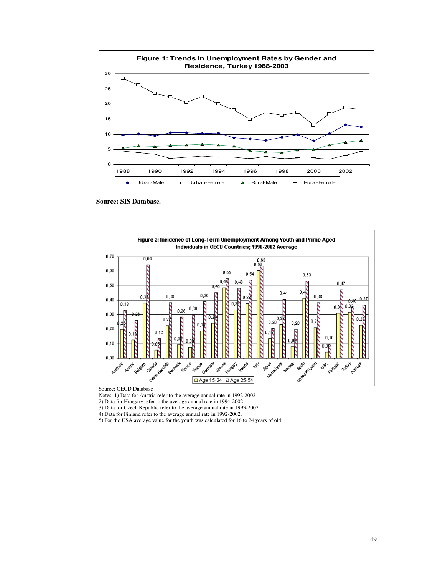

**Source: SIS Database.** 



Notes: 1) Data for Austria refer to the average annual rate in 1992-2002

2) Data for Hungary refer to the average annual rate in 1994-2002

3) Data for Czech Republic refer to the average annual rate in 1993-2002

4) Data for Finland refer to the average annual rate in 1992-2002.

5) For the USA average value for the youth was calculated for 16 to 24 years of old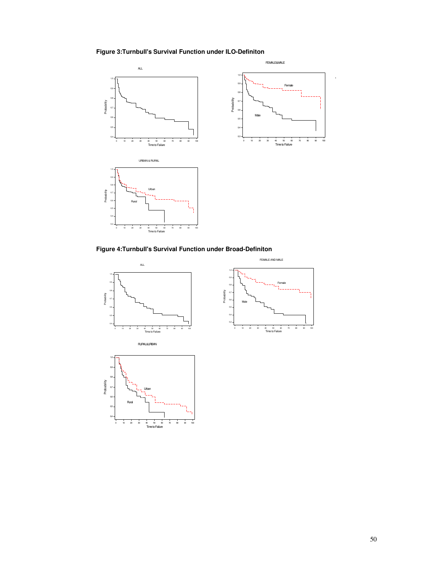# **Figure 3:Turnbull's Survival Function under ILO-Definiton**



**Figure 4:Turnbull's Survival Function under Broad-Definiton**

0 10 20 30 40 50 60 70 80 90 100 Time to Failure

 $_{0,4}$  $0,5$  Rural





1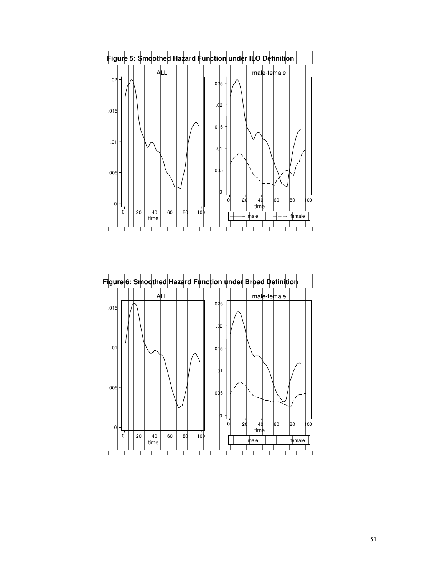**Figure 5: Smoothed Hazard Function under ILO Definition**



**Figure 6: Smoothed Hazard Function under Broad Definition**

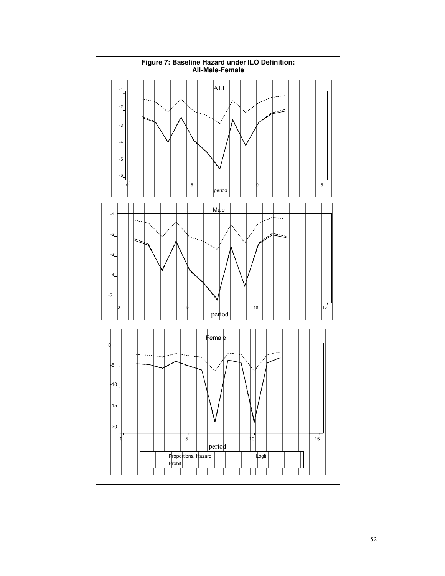